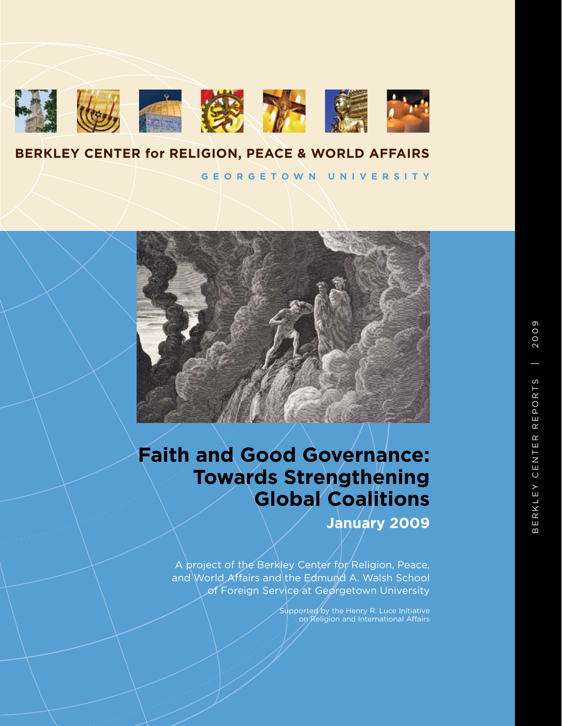

# **BERKLEY CENTER for RELIGION, PEACE & WORLD AFFAIRS**

**GEORGETOWN UNIVERSITY**



# **Faith and Good Governance: Towards Strengthening Global Coalitions**

**January 2009**

 A project of the Berkley Center for Religion, Peace, and World Affairs and the Edmund A. Walsh School of Foreign Service at Georgetown University

> Supported by the Henry R. Luce Initiative on Religion and International Affairs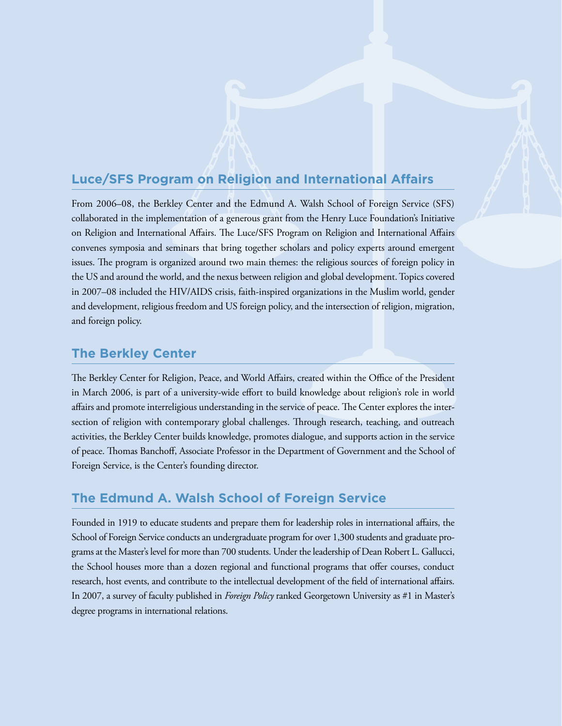# **Luce/SFS Program on Religion and International Affairs**

From 2006–08, the Berkley Center and the Edmund A. Walsh School of Foreign Service (SFS) collaborated in the implementation of a generous grant from the Henry Luce Foundation's Initiative on Religion and International Affairs. The Luce/SFS Program on Religion and International Affairs convenes symposia and seminars that bring together scholars and policy experts around emergent issues. The program is organized around two main themes: the religious sources of foreign policy in the US and around the world, and the nexus between religion and global development. Topics covered in 2007–08 included the HIV/AIDS crisis, faith-inspired organizations in the Muslim world, gender and development, religious freedom and US foreign policy, and the intersection of religion, migration, and foreign policy.

# **The Berkley Center**

The Berkley Center for Religion, Peace, and World Affairs, created within the Office of the President in March 2006, is part of a university-wide effort to build knowledge about religion's role in world affairs and promote interreligious understanding in the service of peace. The Center explores the intersection of religion with contemporary global challenges. Through research, teaching, and outreach activities, the Berkley Center builds knowledge, promotes dialogue, and supports action in the service of peace. Thomas Banchoff, Associate Professor in the Department of Government and the School of Foreign Service, is the Center's founding director.

# **The Edmund A. Walsh School of Foreign Service**

Founded in 1919 to educate students and prepare them for leadership roles in international affairs, the School of Foreign Service conducts an undergraduate program for over 1,300 students and graduate programs at the Master's level for more than 700 students. Under the leadership of Dean Robert L. Gallucci, the School houses more than a dozen regional and functional programs that offer courses, conduct research, host events, and contribute to the intellectual development of the field of international affairs. In 2007, a survey of faculty published in *Foreign Policy* ranked Georgetown University as #1 in Master's degree programs in international relations.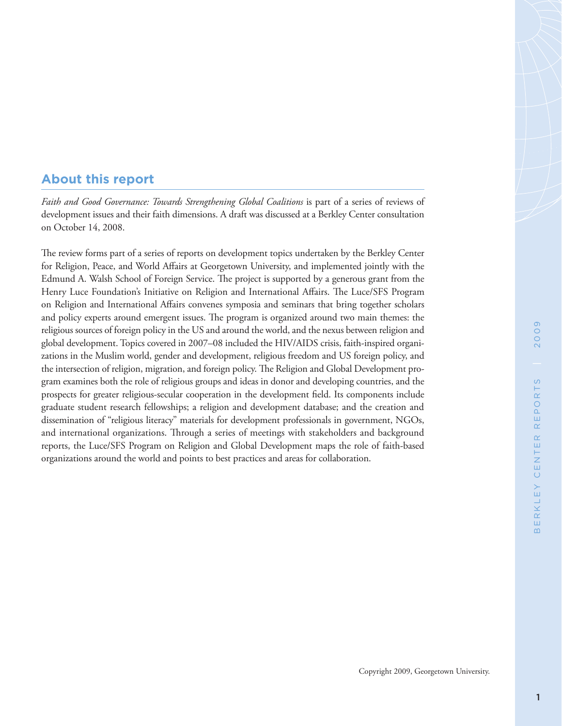# **About this report**

*Faith and Good Governance: Towards Strengthening Global Coalitions* is part of a series of reviews of development issues and their faith dimensions. A draft was discussed at a Berkley Center consultation on October 14, 2008.

The review forms part of a series of reports on development topics undertaken by the Berkley Center for Religion, Peace, and World Affairs at Georgetown University, and implemented jointly with the Edmund A. Walsh School of Foreign Service. The project is supported by a generous grant from the Henry Luce Foundation's Initiative on Religion and International Affairs. The Luce/SFS Program on Religion and International Affairs convenes symposia and seminars that bring together scholars and policy experts around emergent issues. The program is organized around two main themes: the religious sources of foreign policy in the US and around the world, and the nexus between religion and global development. Topics covered in 2007–08 included the HIV/AIDS crisis, faith-inspired organizations in the Muslim world, gender and development, religious freedom and US foreign policy, and the intersection of religion, migration, and foreign policy. The Religion and Global Development program examines both the role of religious groups and ideas in donor and developing countries, and the prospects for greater religious-secular cooperation in the development field. Its components include graduate student research fellowships; a religion and development database; and the creation and dissemination of "religious literacy" materials for development professionals in government, NGOs, and international organizations. Through a series of meetings with stakeholders and background reports, the Luce/SFS Program on Religion and Global Development maps the role of faith-based organizations around the world and points to best practices and areas for collaboration.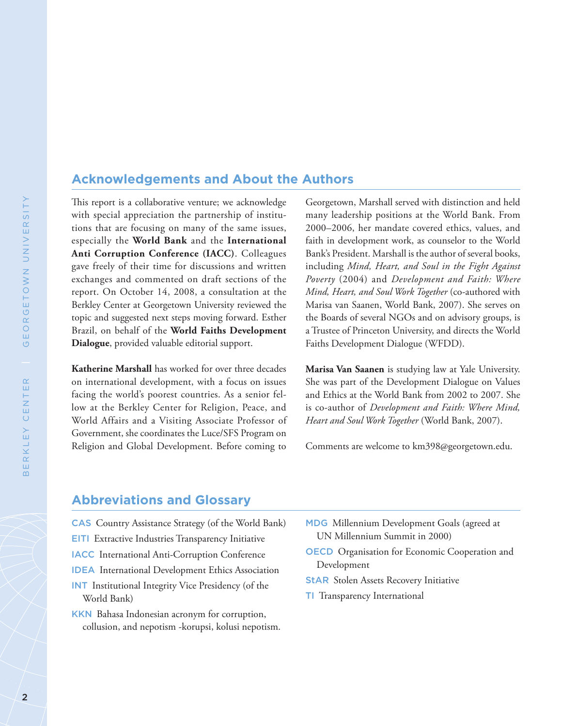# **Acknowledgements and About the Authors**

This report is a collaborative venture; we acknowledge with special appreciation the partnership of institutions that are focusing on many of the same issues, especially the **World Bank** and the **International Anti Corruption Conference (IACC)**. Colleagues gave freely of their time for discussions and written exchanges and commented on draft sections of the report. On October 14, 2008, a consultation at the Berkley Center at Georgetown University reviewed the topic and suggested next steps moving forward. Esther Brazil, on behalf of the **World Faiths Development Dialogue**, provided valuable editorial support.

**Katherine Marshall** has worked for over three decades on international development, with a focus on issues facing the world's poorest countries. As a senior fellow at the Berkley Center for Religion, Peace, and World Affairs and a Visiting Associate Professor of Government, she coordinates the Luce/SFS Program on Religion and Global Development. Before coming to

Georgetown, Marshall served with distinction and held many leadership positions at the World Bank. From 2000–2006, her mandate covered ethics, values, and faith in development work, as counselor to the World Bank's President. Marshall is the author of several books, including *Mind, Heart, and Soul in the Fight Against Poverty* (2004) and *Development and Faith: Where Mind, Heart, and Soul Work Together* (co-authored with Marisa van Saanen, World Bank, 2007). She serves on the Boards of several NGOs and on advisory groups, is a Trustee of Princeton University, and directs the World Faiths Development Dialogue (WFDD).

**Marisa Van Saanen** is studying law at Yale University. She was part of the Development Dialogue on Values and Ethics at the World Bank from 2002 to 2007. She is co-author of *Development and Faith: Where Mind, Heart and Soul Work Together* (World Bank, 2007).

Comments are welcome to km398@georgetown.edu.

# **Abbreviations and Glossary**

- CAS Country Assistance Strategy (of the World Bank)
- **EITI** Extractive Industries Transparency Initiative
- IACC International Anti-Corruption Conference
- IDEA International Development Ethics Association
- INT Institutional Integrity Vice Presidency (of the World Bank)
- KKN Bahasa Indonesian acronym for corruption, collusion, and nepotism -korupsi, kolusi nepotism.
- MDG Millennium Development Goals (agreed at UN Millennium Summit in 2000)
- OECD Organisation for Economic Cooperation and Development
- StAR Stolen Assets Recovery Initiative
- **TI** Transparency International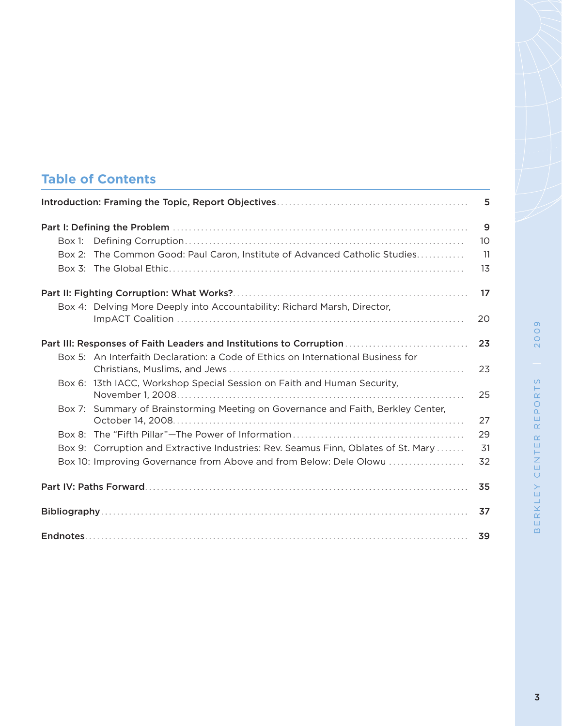# **Table of Contents**

|                                                                                    | 5                   |
|------------------------------------------------------------------------------------|---------------------|
| Box 2: The Common Good: Paul Caron, Institute of Advanced Catholic Studies         | 9<br>10<br>11<br>13 |
|                                                                                    | 17                  |
| Box 4: Delving More Deeply into Accountability: Richard Marsh, Director,           | 20                  |
| Part III: Responses of Faith Leaders and Institutions to Corruption                | 23                  |
| Box 5: An Interfaith Declaration: a Code of Ethics on International Business for   | 23                  |
| Box 6: 13th IACC, Workshop Special Session on Faith and Human Security,            | 25                  |
| Box 7: Summary of Brainstorming Meeting on Governance and Faith, Berkley Center,   | 27                  |
|                                                                                    | 29                  |
| Box 9: Corruption and Extractive Industries: Rev. Seamus Finn, Oblates of St. Mary | 31                  |
| Box 10: Improving Governance from Above and from Below: Dele Olowu                 | 32                  |
|                                                                                    | 35                  |
|                                                                                    | 37                  |
|                                                                                    | 39                  |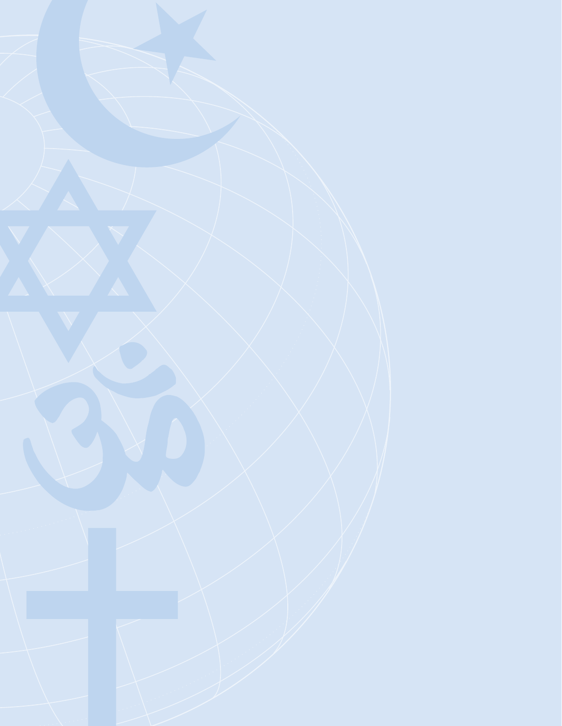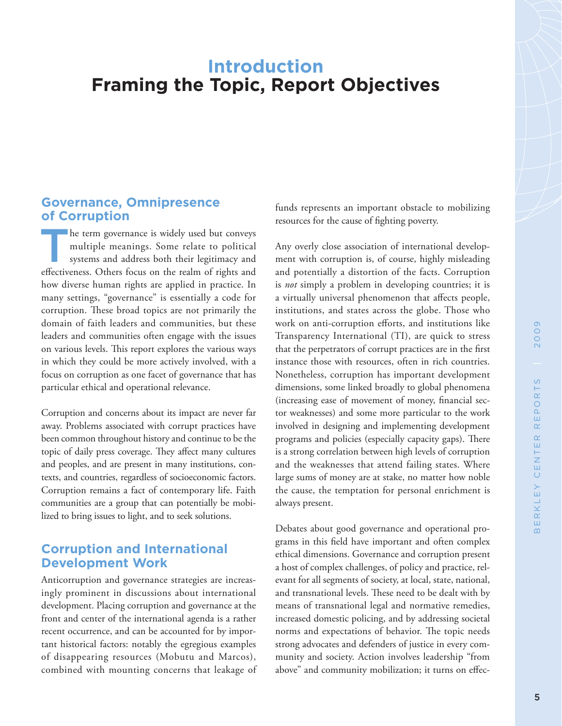# **Introduction Framing the Topic, Report Objectives**

# **Governance, Omnipresence of Corruption**

The term governance is widely used but conveys<br>multiple meanings. Some relate to political<br>systems and address both their legitimacy and multiple meanings. Some relate to political systems and address both their legitimacy and effectiveness. Others focus on the realm of rights and how diverse human rights are applied in practice. In many settings, "governance" is essentially a code for corruption. These broad topics are not primarily the domain of faith leaders and communities, but these leaders and communities often engage with the issues on various levels. This report explores the various ways in which they could be more actively involved, with a focus on corruption as one facet of governance that has particular ethical and operational relevance.

Corruption and concerns about its impact are never far away. Problems associated with corrupt practices have been common throughout history and continue to be the topic of daily press coverage. They affect many cultures and peoples, and are present in many institutions, contexts, and countries, regardless of socioeconomic factors. Corruption remains a fact of contemporary life. Faith communities are a group that can potentially be mobilized to bring issues to light, and to seek solutions.

# **Corruption and International Development Work**

Anticorruption and governance strategies are increasingly prominent in discussions about international development. Placing corruption and governance at the front and center of the international agenda is a rather recent occurrence, and can be accounted for by important historical factors: notably the egregious examples of disappearing resources (Mobutu and Marcos), combined with mounting concerns that leakage of funds represents an important obstacle to mobilizing resources for the cause of fighting poverty.

Any overly close association of international development with corruption is, of course, highly misleading and potentially a distortion of the facts. Corruption is *not* simply a problem in developing countries; it is a virtually universal phenomenon that affects people, institutions, and states across the globe. Those who work on anti-corruption efforts, and institutions like Transparency International (TI), are quick to stress that the perpetrators of corrupt practices are in the first instance those with resources, often in rich countries. Nonetheless, corruption has important development dimensions, some linked broadly to global phenomena (increasing ease of movement of money, financial sector weaknesses) and some more particular to the work involved in designing and implementing development programs and policies (especially capacity gaps). There is a strong correlation between high levels of corruption and the weaknesses that attend failing states. Where large sums of money are at stake, no matter how noble the cause, the temptation for personal enrichment is always present.

Debates about good governance and operational programs in this field have important and often complex ethical dimensions. Governance and corruption present a host of complex challenges, of policy and practice, relevant for all segments of society, at local, state, national, and transnational levels. These need to be dealt with by means of transnational legal and normative remedies, increased domestic policing, and by addressing societal norms and expectations of behavior. The topic needs strong advocates and defenders of justice in every community and society. Action involves leadership "from above" and community mobilization; it turns on effec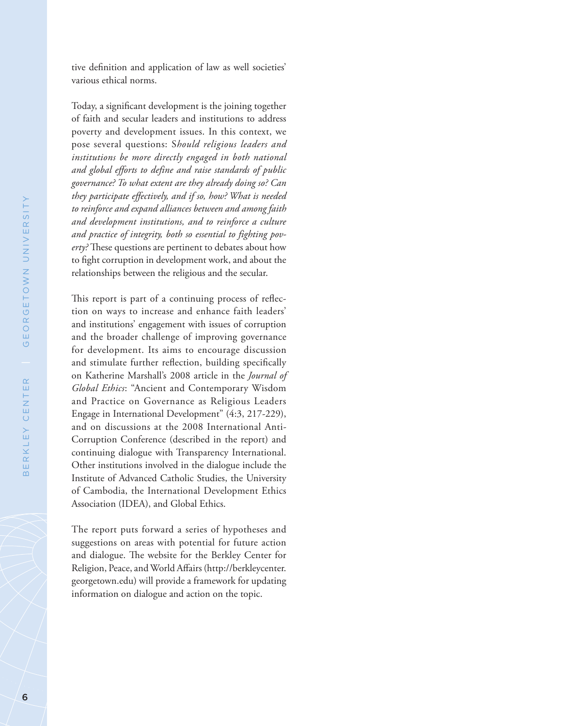tive definition and application of law as well societies' various ethical norms.

Today, a significant development is the joining together of faith and secular leaders and institutions to address poverty and development issues. In this context, we pose several questions: S*hould religious leaders and institutions be more directly engaged in both national and global efforts to define and raise standards of public governance? To what extent are they already doing so? Can they participate effectively, and if so, how? What is needed to reinforce and expand alliances between and among faith and development institutions, and to reinforce a culture and practice of integrity, both so essential to fighting poverty?* These questions are pertinent to debates about how to fight corruption in development work, and about the relationships between the religious and the secular.

This report is part of a continuing process of reflection on ways to increase and enhance faith leaders' and institutions' engagement with issues of corruption and the broader challenge of improving governance for development. Its aims to encourage discussion and stimulate further reflection, building specifically on Katherine Marshall's 2008 article in the *Journal of Global Ethics*: "Ancient and Contemporary Wisdom and Practice on Governance as Religious Leaders Engage in International Development" (4:3, 217-229), and on discussions at the 2008 International Anti-Corruption Conference (described in the report) and continuing dialogue with Transparency International. Other institutions involved in the dialogue include the Institute of Advanced Catholic Studies, the University of Cambodia, the International Development Ethics Association (IDEA), and Global Ethics.

The report puts forward a series of hypotheses and suggestions on areas with potential for future action and dialogue. The website for the Berkley Center for Religion, Peace, and World Affairs (http://berkleycenter. georgetown.edu) will provide a framework for updating information on dialogue and action on the topic.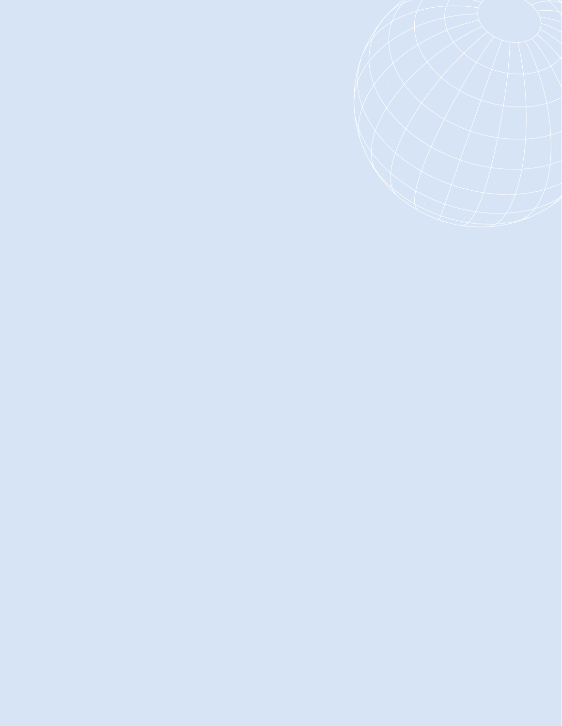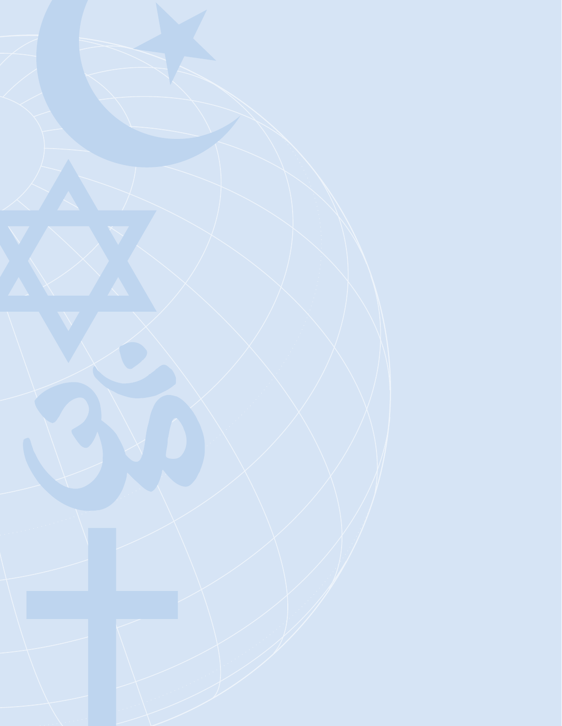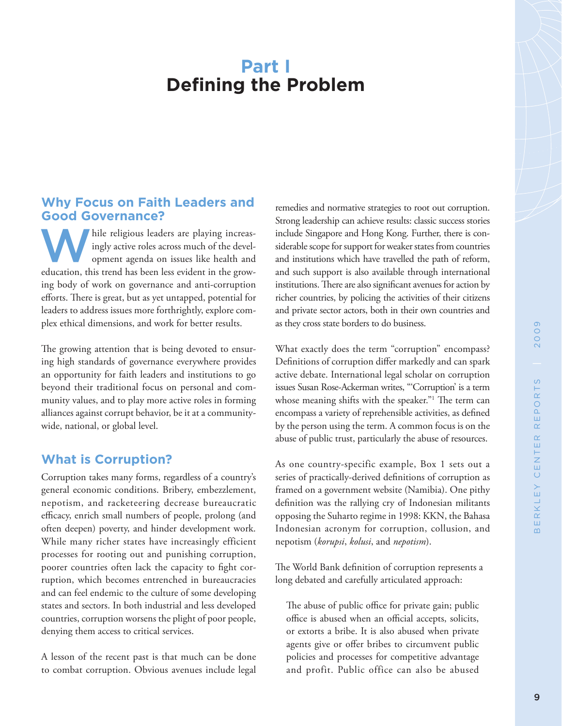# **Part I Defining the Problem**

# **Why Focus on Faith Leaders and Good Governance?**

hile religious leaders are playing increas-<br>ingly active roles across much of the devel-<br>opment agenda on issues like health and ingly active roles across much of the development agenda on issues like health and education, this trend has been less evident in the growing body of work on governance and anti-corruption efforts. There is great, but as yet untapped, potential for leaders to address issues more forthrightly, explore complex ethical dimensions, and work for better results.

The growing attention that is being devoted to ensuring high standards of governance everywhere provides an opportunity for faith leaders and institutions to go beyond their traditional focus on personal and community values, and to play more active roles in forming alliances against corrupt behavior, be it at a communitywide, national, or global level.

# **What is Corruption?**

Corruption takes many forms, regardless of a country's general economic conditions. Bribery, embezzlement, nepotism, and racketeering decrease bureaucratic efficacy, enrich small numbers of people, prolong (and often deepen) poverty, and hinder development work. While many richer states have increasingly efficient processes for rooting out and punishing corruption, poorer countries often lack the capacity to fight corruption, which becomes entrenched in bureaucracies and can feel endemic to the culture of some developing states and sectors. In both industrial and less developed countries, corruption worsens the plight of poor people, denying them access to critical services.

A lesson of the recent past is that much can be done to combat corruption. Obvious avenues include legal

remedies and normative strategies to root out corruption. Strong leadership can achieve results: classic success stories include Singapore and Hong Kong. Further, there is considerable scope for support for weaker states from countries and institutions which have travelled the path of reform, and such support is also available through international institutions. There are also significant avenues for action by richer countries, by policing the activities of their citizens and private sector actors, both in their own countries and as they cross state borders to do business.

What exactly does the term "corruption" encompass? Definitions of corruption differ markedly and can spark active debate. International legal scholar on corruption issues Susan Rose-Ackerman writes, "'Corruption' is a term whose meaning shifts with the speaker."1 The term can encompass a variety of reprehensible activities, as defined by the person using the term. A common focus is on the abuse of public trust, particularly the abuse of resources.

As one country-specific example, Box 1 sets out a series of practically-derived definitions of corruption as framed on a government website (Namibia). One pithy definition was the rallying cry of Indonesian militants opposing the Suharto regime in 1998: KKN, the Bahasa Indonesian acronym for corruption, collusion, and nepotism (*korupsi*, *kolusi*, and *nepotism*).

The World Bank definition of corruption represents a long debated and carefully articulated approach:

The abuse of public office for private gain; public office is abused when an official accepts, solicits, or extorts a bribe. It is also abused when private agents give or offer bribes to circumvent public policies and processes for competitive advantage and profit. Public office can also be abused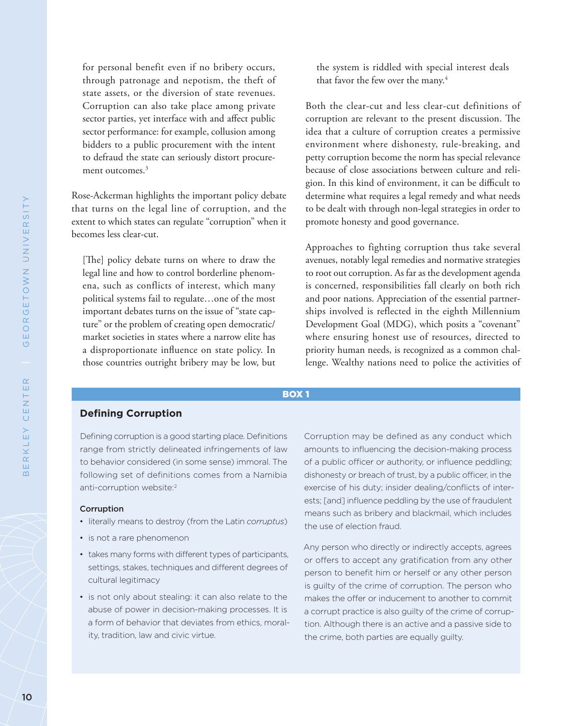for personal benefit even if no bribery occurs, through patronage and nepotism, the theft of state assets, or the diversion of state revenues. Corruption can also take place among private sector parties, yet interface with and affect public sector performance: for example, collusion among bidders to a public procurement with the intent to defraud the state can seriously distort procurement outcomes.<sup>3</sup>

Rose-Ackerman highlights the important policy debate that turns on the legal line of corruption, and the extent to which states can regulate "corruption" when it becomes less clear-cut.

[The] policy debate turns on where to draw the legal line and how to control borderline phenomena, such as conflicts of interest, which many political systems fail to regulate…one of the most important debates turns on the issue of "state capture" or the problem of creating open democratic/ market societies in states where a narrow elite has a disproportionate influence on state policy. In those countries outright bribery may be low, but

the system is riddled with special interest deals that favor the few over the many.<sup>4</sup>

Both the clear-cut and less clear-cut definitions of corruption are relevant to the present discussion. The idea that a culture of corruption creates a permissive environment where dishonesty, rule-breaking, and petty corruption become the norm has special relevance because of close associations between culture and religion. In this kind of environment, it can be difficult to determine what requires a legal remedy and what needs to be dealt with through non-legal strategies in order to promote honesty and good governance.

Approaches to fighting corruption thus take several avenues, notably legal remedies and normative strategies to root out corruption. As far as the development agenda is concerned, responsibilities fall clearly on both rich and poor nations. Appreciation of the essential partnerships involved is reflected in the eighth Millennium Development Goal (MDG), which posits a "covenant" where ensuring honest use of resources, directed to priority human needs, is recognized as a common challenge. Wealthy nations need to police the activities of

#### Box 1

#### **Defining Corruption**

Defining corruption is a good starting place. Definitions range from strictly delineated infringements of law to behavior considered (in some sense) immoral. The following set of definitions comes from a Namibia anti-corruption website:2

#### Corruption

- literally means to destroy (from the Latin *corruptus*)
- is not a rare phenomenon
- takes many forms with different types of participants, settings, stakes, techniques and different degrees of cultural legitimacy
- is not only about stealing: it can also relate to the abuse of power in decision-making processes. It is a form of behavior that deviates from ethics, morality, tradition, law and civic virtue.

Corruption may be defined as any conduct which amounts to influencing the decision-making process of a public officer or authority, or influence peddling; dishonesty or breach of trust, by a public officer, in the exercise of his duty; insider dealing/conflicts of interests; [and] influence peddling by the use of fraudulent means such as bribery and blackmail, which includes the use of election fraud.

Any person who directly or indirectly accepts, agrees or offers to accept any gratification from any other person to benefit him or herself or any other person is guilty of the crime of corruption. The person who makes the offer or inducement to another to commit a corrupt practice is also guilty of the crime of corruption. Although there is an active and a passive side to the crime, both parties are equally guilty.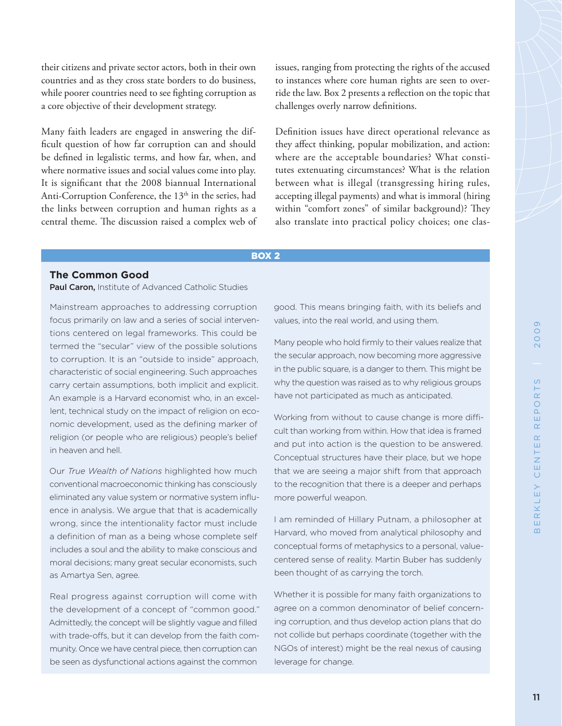their citizens and private sector actors, both in their own countries and as they cross state borders to do business, while poorer countries need to see fighting corruption as a core objective of their development strategy.

Many faith leaders are engaged in answering the difficult question of how far corruption can and should be defined in legalistic terms, and how far, when, and where normative issues and social values come into play. It is significant that the 2008 biannual International Anti-Corruption Conference, the 13<sup>th</sup> in the series, had the links between corruption and human rights as a central theme. The discussion raised a complex web of issues, ranging from protecting the rights of the accused to instances where core human rights are seen to override the law. Box 2 presents a reflection on the topic that challenges overly narrow definitions.

Definition issues have direct operational relevance as they affect thinking, popular mobilization, and action: where are the acceptable boundaries? What constitutes extenuating circumstances? What is the relation between what is illegal (transgressing hiring rules, accepting illegal payments) and what is immoral (hiring within "comfort zones" of similar background)? They also translate into practical policy choices; one clas-

### Box 2

#### **The Common Good**

Paul Caron, Institute of Advanced Catholic Studies

Mainstream approaches to addressing corruption focus primarily on law and a series of social interventions centered on legal frameworks. This could be termed the "secular" view of the possible solutions to corruption. It is an "outside to inside" approach, characteristic of social engineering. Such approaches carry certain assumptions, both implicit and explicit. An example is a Harvard economist who, in an excellent, technical study on the impact of religion on economic development, used as the defining marker of religion (or people who are religious) people's belief in heaven and hell.

Our *True Wealth of Nations* highlighted how much conventional macroeconomic thinking has consciously eliminated any value system or normative system influence in analysis. We argue that that is academically wrong, since the intentionality factor must include a definition of man as a being whose complete self includes a soul and the ability to make conscious and moral decisions; many great secular economists, such as Amartya Sen, agree.

Real progress against corruption will come with the development of a concept of "common good." Admittedly, the concept will be slightly vague and filled with trade-offs, but it can develop from the faith community. Once we have central piece, then corruption can be seen as dysfunctional actions against the common

good. This means bringing faith, with its beliefs and values, into the real world, and using them.

Many people who hold firmly to their values realize that the secular approach, now becoming more aggressive in the public square, is a danger to them. This might be why the question was raised as to why religious groups have not participated as much as anticipated.

Working from without to cause change is more difficult than working from within. How that idea is framed and put into action is the question to be answered. Conceptual structures have their place, but we hope that we are seeing a major shift from that approach to the recognition that there is a deeper and perhaps more powerful weapon.

I am reminded of Hillary Putnam, a philosopher at Harvard, who moved from analytical philosophy and conceptual forms of metaphysics to a personal, valuecentered sense of reality. Martin Buber has suddenly been thought of as carrying the torch.

Whether it is possible for many faith organizations to agree on a common denominator of belief concerning corruption, and thus develop action plans that do not collide but perhaps coordinate (together with the NGOs of interest) might be the real nexus of causing leverage for change.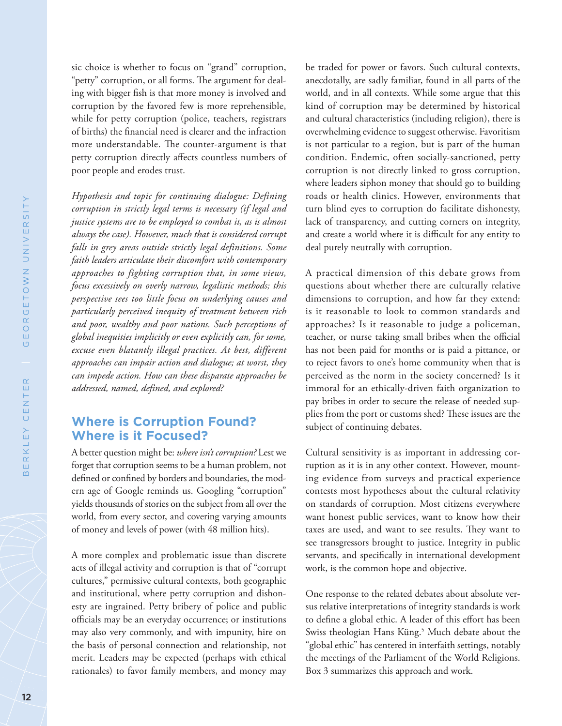sic choice is whether to focus on "grand" corruption, "petty" corruption, or all forms. The argument for dealing with bigger fish is that more money is involved and corruption by the favored few is more reprehensible, while for petty corruption (police, teachers, registrars of births) the financial need is clearer and the infraction more understandable. The counter-argument is that petty corruption directly affects countless numbers of poor people and erodes trust.

*Hypothesis and topic for continuing dialogue: Defining corruption in strictly legal terms is necessary (if legal and justice systems are to be employed to combat it, as is almost always the case). However, much that is considered corrupt falls in grey areas outside strictly legal definitions. Some faith leaders articulate their discomfort with contemporary approaches to fighting corruption that, in some views, focus excessively on overly narrow, legalistic methods; this perspective sees too little focus on underlying causes and particularly perceived inequity of treatment between rich and poor, wealthy and poor nations. Such perceptions of global inequities implicitly or even explicitly can, for some, excuse even blatantly illegal practices. At best, different approaches can impair action and dialogue; at worst, they can impede action. How can these disparate approaches be addressed, named, defined, and explored?*

## **Where is Corruption Found? Where is it Focused?**

A better question might be: *where isn't corruption?* Lest we forget that corruption seems to be a human problem, not defined or confined by borders and boundaries, the modern age of Google reminds us. Googling "corruption" yields thousands of stories on the subject from all over the world, from every sector, and covering varying amounts of money and levels of power (with 48 million hits).

A more complex and problematic issue than discrete acts of illegal activity and corruption is that of "corrupt cultures," permissive cultural contexts, both geographic and institutional, where petty corruption and dishonesty are ingrained. Petty bribery of police and public officials may be an everyday occurrence; or institutions may also very commonly, and with impunity, hire on the basis of personal connection and relationship, not merit. Leaders may be expected (perhaps with ethical rationales) to favor family members, and money may

be traded for power or favors. Such cultural contexts, anecdotally, are sadly familiar, found in all parts of the world, and in all contexts. While some argue that this kind of corruption may be determined by historical and cultural characteristics (including religion), there is overwhelming evidence to suggest otherwise. Favoritism is not particular to a region, but is part of the human condition. Endemic, often socially-sanctioned, petty corruption is not directly linked to gross corruption, where leaders siphon money that should go to building roads or health clinics. However, environments that turn blind eyes to corruption do facilitate dishonesty, lack of transparency, and cutting corners on integrity, and create a world where it is difficult for any entity to deal purely neutrally with corruption.

A practical dimension of this debate grows from questions about whether there are culturally relative dimensions to corruption, and how far they extend: is it reasonable to look to common standards and approaches? Is it reasonable to judge a policeman, teacher, or nurse taking small bribes when the official has not been paid for months or is paid a pittance, or to reject favors to one's home community when that is perceived as the norm in the society concerned? Is it immoral for an ethically-driven faith organization to pay bribes in order to secure the release of needed supplies from the port or customs shed? These issues are the subject of continuing debates.

Cultural sensitivity is as important in addressing corruption as it is in any other context. However, mounting evidence from surveys and practical experience contests most hypotheses about the cultural relativity on standards of corruption. Most citizens everywhere want honest public services, want to know how their taxes are used, and want to see results. They want to see transgressors brought to justice. Integrity in public servants, and specifically in international development work, is the common hope and objective.

One response to the related debates about absolute versus relative interpretations of integrity standards is work to define a global ethic. A leader of this effort has been Swiss theologian Hans Küng.<sup>5</sup> Much debate about the "global ethic" has centered in interfaith settings, notably the meetings of the Parliament of the World Religions. Box 3 summarizes this approach and work.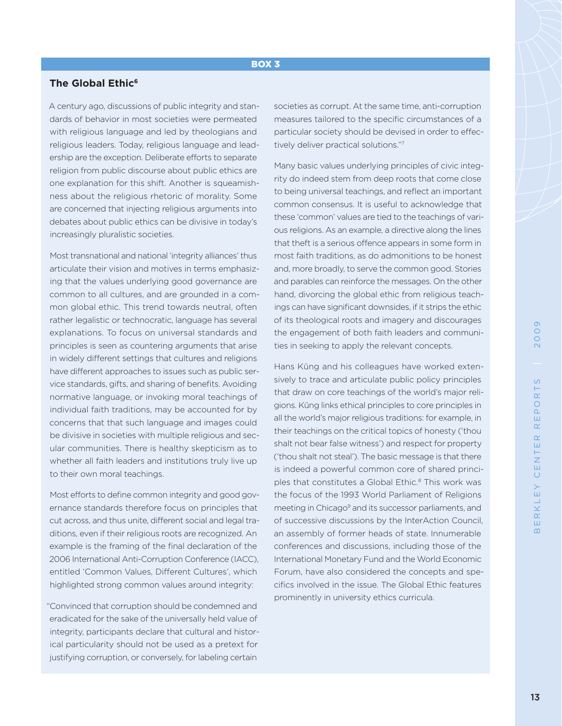### **The Global Ethic6**

A century ago, discussions of public integrity and standards of behavior in most societies were permeated with religious language and led by theologians and religious leaders. Today, religious language and leadership are the exception. Deliberate efforts to separate religion from public discourse about public ethics are one explanation for this shift. Another is squeamishness about the religious rhetoric of morality. Some are concerned that injecting religious arguments into debates about public ethics can be divisive in today's increasingly pluralistic societies.

Most transnational and national 'integrity alliances' thus articulate their vision and motives in terms emphasizing that the values underlying good governance are common to all cultures, and are grounded in a common global ethic. This trend towards neutral, often rather legalistic or technocratic, language has several explanations. To focus on universal standards and principles is seen as countering arguments that arise in widely different settings that cultures and religions have different approaches to issues such as public service standards, gifts, and sharing of benefits. Avoiding normative language, or invoking moral teachings of individual faith traditions, may be accounted for by concerns that that such language and images could be divisive in societies with multiple religious and secular communities. There is healthy skepticism as to whether all faith leaders and institutions truly live up to their own moral teachings.

Most efforts to define common integrity and good governance standards therefore focus on principles that cut across, and thus unite, different social and legal traditions, even if their religious roots are recognized. An example is the framing of the final declaration of the 2006 International Anti-Corruption Conference (IACC), entitled 'Common Values, Different Cultures', which highlighted strong common values around integrity:

"Convinced that corruption should be condemned and eradicated for the sake of the universally held value of integrity, participants declare that cultural and historical particularity should not be used as a pretext for justifying corruption, or conversely, for labeling certain

societies as corrupt. At the same time, anti-corruption measures tailored to the specific circumstances of a particular society should be devised in order to effectively deliver practical solutions."7

Many basic values underlying principles of civic integrity do indeed stem from deep roots that come close to being universal teachings, and reflect an important common consensus. It is useful to acknowledge that these 'common' values are tied to the teachings of various religions. As an example, a directive along the lines that theft is a serious offence appears in some form in most faith traditions, as do admonitions to be honest and, more broadly, to serve the common good. Stories and parables can reinforce the messages. On the other hand, divorcing the global ethic from religious teachings can have significant downsides, if it strips the ethic of its theological roots and imagery and discourages the engagement of both faith leaders and communities in seeking to apply the relevant concepts.

Hans Küng and his colleagues have worked extensively to trace and articulate public policy principles that draw on core teachings of the world's major religions. Küng links ethical principles to core principles in all the world's major religious traditions: for example, in their teachings on the critical topics of honesty ('thou shalt not bear false witness') and respect for property ('thou shalt not steal'). The basic message is that there is indeed a powerful common core of shared principles that constitutes a Global Ethic.<sup>8</sup> This work was the focus of the 1993 World Parliament of Religions meeting in Chicago<sup>9</sup> and its successor parliaments, and of successive discussions by the InterAction Council, an assembly of former heads of state. Innumerable conferences and discussions, including those of the International Monetary Fund and the World Economic Forum, have also considered the concepts and specifics involved in the issue. The Global Ethic features prominently in university ethics curricula.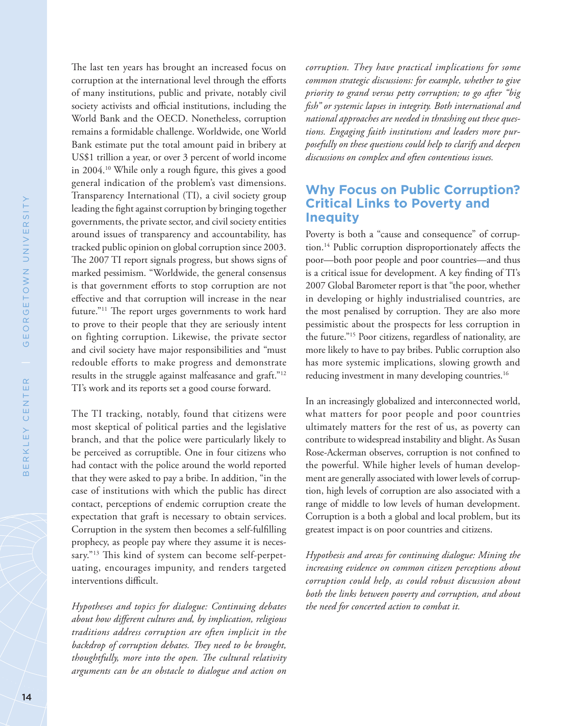The last ten years has brought an increased focus on corruption at the international level through the efforts of many institutions, public and private, notably civil society activists and official institutions, including the World Bank and the OECD. Nonetheless, corruption remains a formidable challenge. Worldwide, one World Bank estimate put the total amount paid in bribery at US\$1 trillion a year, or over 3 percent of world income in 2004.10 While only a rough figure, this gives a good general indication of the problem's vast dimensions. Transparency International (TI), a civil society group leading the fight against corruption by bringing together governments, the private sector, and civil society entities around issues of transparency and accountability, has tracked public opinion on global corruption since 2003. The 2007 TI report signals progress, but shows signs of marked pessimism. "Worldwide, the general consensus is that government efforts to stop corruption are not effective and that corruption will increase in the near future."<sup>11</sup> The report urges governments to work hard to prove to their people that they are seriously intent on fighting corruption. Likewise, the private sector and civil society have major responsibilities and "must redouble efforts to make progress and demonstrate results in the struggle against malfeasance and graft."12 TI's work and its reports set a good course forward.

The TI tracking, notably, found that citizens were most skeptical of political parties and the legislative branch, and that the police were particularly likely to be perceived as corruptible. One in four citizens who had contact with the police around the world reported that they were asked to pay a bribe. In addition, "in the case of institutions with which the public has direct contact, perceptions of endemic corruption create the expectation that graft is necessary to obtain services. Corruption in the system then becomes a self-fulfilling prophecy, as people pay where they assume it is necessary."13 This kind of system can become self-perpetuating, encourages impunity, and renders targeted interventions difficult.

*Hypotheses and topics for dialogue: Continuing debates about how different cultures and, by implication, religious traditions address corruption are often implicit in the backdrop of corruption debates. They need to be brought, thoughtfully, more into the open. The cultural relativity arguments can be an obstacle to dialogue and action on* 

*corruption. They have practical implications for some common strategic discussions: for example, whether to give priority to grand versus petty corruption; to go after "big fish" or systemic lapses in integrity. Both international and national approaches are needed in thrashing out these questions. Engaging faith institutions and leaders more purposefully on these questions could help to clarify and deepen discussions on complex and often contentious issues.*

# **Why Focus on Public Corruption? Critical Links to Poverty and Inequity**

Poverty is both a "cause and consequence" of corruption.14 Public corruption disproportionately affects the poor—both poor people and poor countries—and thus is a critical issue for development. A key finding of TI's 2007 Global Barometer report is that "the poor, whether in developing or highly industrialised countries, are the most penalised by corruption. They are also more pessimistic about the prospects for less corruption in the future."15 Poor citizens, regardless of nationality, are more likely to have to pay bribes. Public corruption also has more systemic implications, slowing growth and reducing investment in many developing countries.<sup>16</sup>

In an increasingly globalized and interconnected world, what matters for poor people and poor countries ultimately matters for the rest of us, as poverty can contribute to widespread instability and blight. As Susan Rose-Ackerman observes, corruption is not confined to the powerful. While higher levels of human development are generally associated with lower levels of corruption, high levels of corruption are also associated with a range of middle to low levels of human development. Corruption is a both a global and local problem, but its greatest impact is on poor countries and citizens.

*Hypothesis and areas for continuing dialogue: Mining the increasing evidence on common citizen perceptions about corruption could help, as could robust discussion about both the links between poverty and corruption, and about the need for concerted action to combat it.*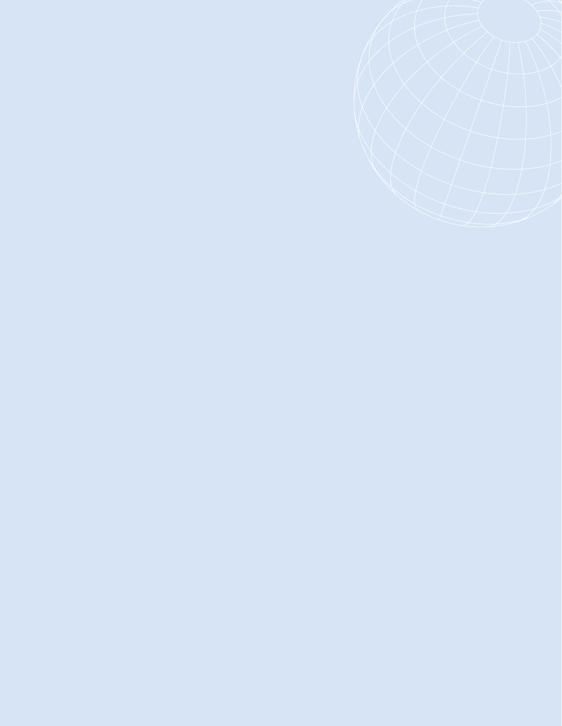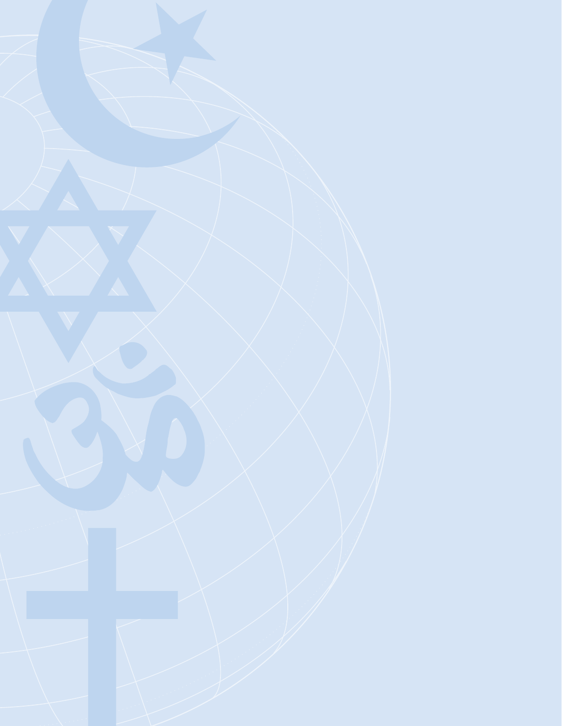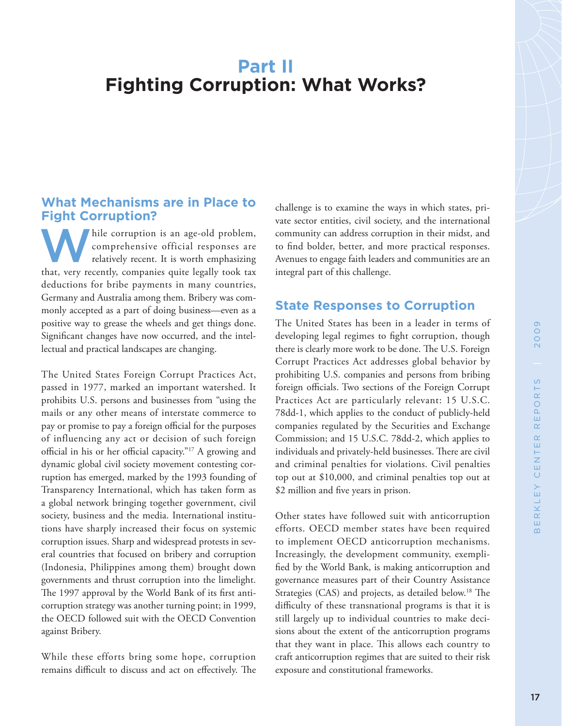# **Part II Fighting Corruption: What Works?**

# **What Mechanisms are in Place to Fight Corruption?**

while corruption is an age-old problem,<br>comprehensive official responses are<br>relatively recent. It is worth emphasizing comprehensive official responses are relatively recent. It is worth emphasizing that, very recently, companies quite legally took tax deductions for bribe payments in many countries, Germany and Australia among them. Bribery was commonly accepted as a part of doing business—even as a positive way to grease the wheels and get things done. Significant changes have now occurred, and the intellectual and practical landscapes are changing.

The United States Foreign Corrupt Practices Act, passed in 1977, marked an important watershed. It prohibits U.S. persons and businesses from "using the mails or any other means of interstate commerce to pay or promise to pay a foreign official for the purposes of influencing any act or decision of such foreign official in his or her official capacity."17 A growing and dynamic global civil society movement contesting corruption has emerged, marked by the 1993 founding of Transparency International, which has taken form as a global network bringing together government, civil society, business and the media. International institutions have sharply increased their focus on systemic corruption issues. Sharp and widespread protests in several countries that focused on bribery and corruption (Indonesia, Philippines among them) brought down governments and thrust corruption into the limelight. The 1997 approval by the World Bank of its first anticorruption strategy was another turning point; in 1999, the OECD followed suit with the OECD Convention against Bribery.

While these efforts bring some hope, corruption remains difficult to discuss and act on effectively. The

challenge is to examine the ways in which states, private sector entities, civil society, and the international community can address corruption in their midst, and to find bolder, better, and more practical responses. Avenues to engage faith leaders and communities are an integral part of this challenge.

## **State Responses to Corruption**

The United States has been in a leader in terms of developing legal regimes to fight corruption, though there is clearly more work to be done. The U.S. Foreign Corrupt Practices Act addresses global behavior by prohibiting U.S. companies and persons from bribing foreign officials. Two sections of the Foreign Corrupt Practices Act are particularly relevant: 15 U.S.C. 78dd-1, which applies to the conduct of publicly-held companies regulated by the Securities and Exchange Commission; and 15 U.S.C. 78dd-2, which applies to individuals and privately-held businesses. There are civil and criminal penalties for violations. Civil penalties top out at \$10,000, and criminal penalties top out at \$2 million and five years in prison.

Other states have followed suit with anticorruption efforts. OECD member states have been required to implement OECD anticorruption mechanisms. Increasingly, the development community, exemplified by the World Bank, is making anticorruption and governance measures part of their Country Assistance Strategies (CAS) and projects, as detailed below.<sup>18</sup> The difficulty of these transnational programs is that it is still largely up to individual countries to make decisions about the extent of the anticorruption programs that they want in place. This allows each country to craft anticorruption regimes that are suited to their risk exposure and constitutional frameworks.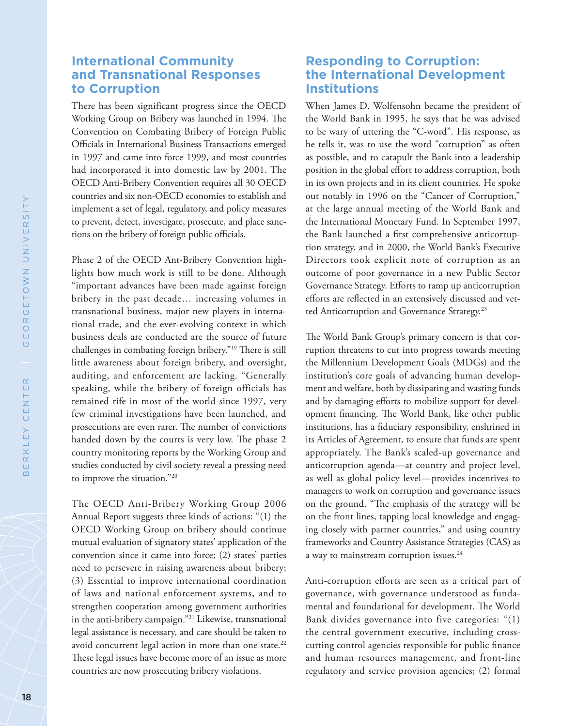# **International Community and Transnational Responses to Corruption**

There has been significant progress since the OECD Working Group on Bribery was launched in 1994. The Convention on Combating Bribery of Foreign Public Officials in International Business Transactions emerged in 1997 and came into force 1999, and most countries had incorporated it into domestic law by 2001. The OECD Anti-Bribery Convention requires all 30 OECD countries and six non-OECD economies to establish and implement a set of legal, regulatory, and policy measures to prevent, detect, investigate, prosecute, and place sanctions on the bribery of foreign public officials.

Phase 2 of the OECD Ant-Bribery Convention highlights how much work is still to be done. Although "important advances have been made against foreign bribery in the past decade… increasing volumes in transnational business, major new players in international trade, and the ever-evolving context in which business deals are conducted are the source of future challenges in combating foreign bribery."19 There is still little awareness about foreign bribery, and oversight, auditing, and enforcement are lacking. "Generally speaking, while the bribery of foreign officials has remained rife in most of the world since 1997, very few criminal investigations have been launched, and prosecutions are even rarer. The number of convictions handed down by the courts is very low. The phase 2 country monitoring reports by the Working Group and studies conducted by civil society reveal a pressing need to improve the situation."20

The OECD Anti-Bribery Working Group 2006 Annual Report suggests three kinds of actions: "(1) the OECD Working Group on bribery should continue mutual evaluation of signatory states' application of the convention since it came into force; (2) states' parties need to persevere in raising awareness about bribery; (3) Essential to improve international coordination of laws and national enforcement systems, and to strengthen cooperation among government authorities in the anti-bribery campaign."21 Likewise, transnational legal assistance is necessary, and care should be taken to avoid concurrent legal action in more than one state.<sup>22</sup> These legal issues have become more of an issue as more countries are now prosecuting bribery violations.

# **Responding to Corruption: the International Development Institutions**

When James D. Wolfensohn became the president of the World Bank in 1995, he says that he was advised to be wary of uttering the "C-word". His response, as he tells it, was to use the word "corruption" as often as possible, and to catapult the Bank into a leadership position in the global effort to address corruption, both in its own projects and in its client countries. He spoke out notably in 1996 on the "Cancer of Corruption," at the large annual meeting of the World Bank and the International Monetary Fund. In September 1997, the Bank launched a first comprehensive anticorruption strategy, and in 2000, the World Bank's Executive Directors took explicit note of corruption as an outcome of poor governance in a new Public Sector Governance Strategy. Efforts to ramp up anticorruption efforts are reflected in an extensively discussed and vetted Anticorruption and Governance Strategy.<sup>23</sup>

The World Bank Group's primary concern is that corruption threatens to cut into progress towards meeting the Millennium Development Goals (MDGs) and the institution's core goals of advancing human development and welfare, both by dissipating and wasting funds and by damaging efforts to mobilize support for development financing. The World Bank, like other public institutions, has a fiduciary responsibility, enshrined in its Articles of Agreement, to ensure that funds are spent appropriately. The Bank's scaled-up governance and anticorruption agenda—at country and project level, as well as global policy level—provides incentives to managers to work on corruption and governance issues on the ground. "The emphasis of the strategy will be on the front lines, tapping local knowledge and engaging closely with partner countries," and using country frameworks and Country Assistance Strategies (CAS) as a way to mainstream corruption issues.<sup>24</sup>

Anti-corruption efforts are seen as a critical part of governance, with governance understood as fundamental and foundational for development. The World Bank divides governance into five categories: "(1) the central government executive, including crosscutting control agencies responsible for public finance and human resources management, and front-line regulatory and service provision agencies; (2) formal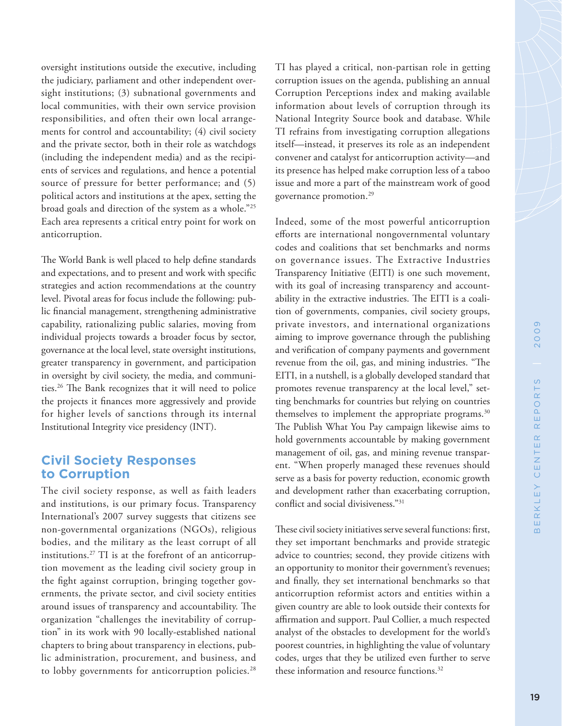oversight institutions outside the executive, including the judiciary, parliament and other independent oversight institutions; (3) subnational governments and local communities, with their own service provision responsibilities, and often their own local arrangements for control and accountability; (4) civil society and the private sector, both in their role as watchdogs (including the independent media) and as the recipients of services and regulations, and hence a potential source of pressure for better performance; and (5) political actors and institutions at the apex, setting the broad goals and direction of the system as a whole."25 Each area represents a critical entry point for work on anticorruption.

The World Bank is well placed to help define standards and expectations, and to present and work with specific strategies and action recommendations at the country level. Pivotal areas for focus include the following: public financial management, strengthening administrative capability, rationalizing public salaries, moving from individual projects towards a broader focus by sector, governance at the local level, state oversight institutions, greater transparency in government, and participation in oversight by civil society, the media, and communities.26 The Bank recognizes that it will need to police the projects it finances more aggressively and provide for higher levels of sanctions through its internal Institutional Integrity vice presidency (INT).

## **Civil Society Responses to Corruption**

The civil society response, as well as faith leaders and institutions, is our primary focus. Transparency International's 2007 survey suggests that citizens see non-governmental organizations (NGOs), religious bodies, and the military as the least corrupt of all institutions.27 TI is at the forefront of an anticorruption movement as the leading civil society group in the fight against corruption, bringing together governments, the private sector, and civil society entities around issues of transparency and accountability. The organization "challenges the inevitability of corruption" in its work with 90 locally-established national chapters to bring about transparency in elections, public administration, procurement, and business, and to lobby governments for anticorruption policies. $28$ 

TI has played a critical, non-partisan role in getting corruption issues on the agenda, publishing an annual Corruption Perceptions index and making available information about levels of corruption through its National Integrity Source book and database. While TI refrains from investigating corruption allegations itself—instead, it preserves its role as an independent convener and catalyst for anticorruption activity—and its presence has helped make corruption less of a taboo issue and more a part of the mainstream work of good governance promotion.29

Indeed, some of the most powerful anticorruption efforts are international nongovernmental voluntary codes and coalitions that set benchmarks and norms on governance issues. The Extractive Industries Transparency Initiative (EITI) is one such movement, with its goal of increasing transparency and accountability in the extractive industries. The EITI is a coalition of governments, companies, civil society groups, private investors, and international organizations aiming to improve governance through the publishing and verification of company payments and government revenue from the oil, gas, and mining industries. "The EITI, in a nutshell, is a globally developed standard that promotes revenue transparency at the local level," setting benchmarks for countries but relying on countries themselves to implement the appropriate programs.<sup>30</sup> The Publish What You Pay campaign likewise aims to hold governments accountable by making government management of oil, gas, and mining revenue transparent. "When properly managed these revenues should serve as a basis for poverty reduction, economic growth and development rather than exacerbating corruption, conflict and social divisiveness."31

These civil society initiatives serve several functions: first, they set important benchmarks and provide strategic advice to countries; second, they provide citizens with an opportunity to monitor their government's revenues; and finally, they set international benchmarks so that anticorruption reformist actors and entities within a given country are able to look outside their contexts for affirmation and support. Paul Collier, a much respected analyst of the obstacles to development for the world's poorest countries, in highlighting the value of voluntary codes, urges that they be utilized even further to serve these information and resource functions.<sup>32</sup>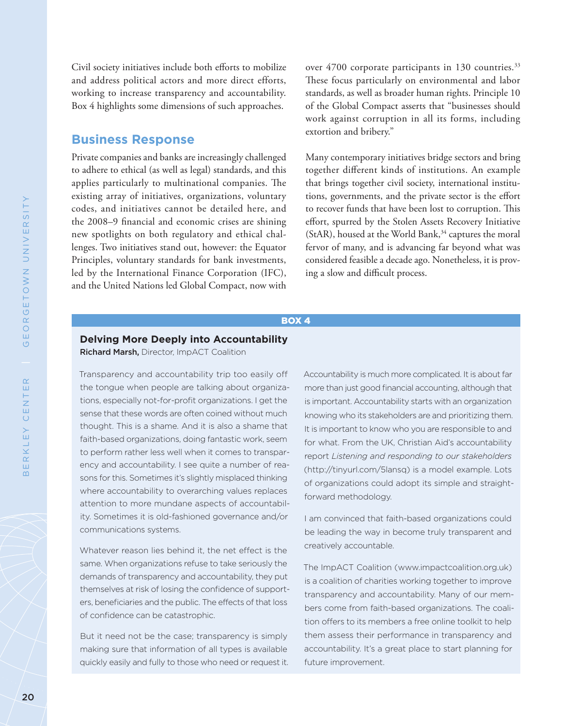Civil society initiatives include both efforts to mobilize and address political actors and more direct efforts, working to increase transparency and accountability. Box 4 highlights some dimensions of such approaches.

### **Business Response**

Private companies and banks are increasingly challenged to adhere to ethical (as well as legal) standards, and this applies particularly to multinational companies. The existing array of initiatives, organizations, voluntary codes, and initiatives cannot be detailed here, and the 2008–9 financial and economic crises are shining new spotlights on both regulatory and ethical challenges. Two initiatives stand out, however: the Equator Principles, voluntary standards for bank investments, led by the International Finance Corporation (IFC), and the United Nations led Global Compact, now with

over 4700 corporate participants in 130 countries.<sup>33</sup> These focus particularly on environmental and labor standards, as well as broader human rights. Principle 10 of the Global Compact asserts that "businesses should work against corruption in all its forms, including extortion and bribery."

Many contemporary initiatives bridge sectors and bring together different kinds of institutions. An example that brings together civil society, international institutions, governments, and the private sector is the effort to recover funds that have been lost to corruption. This effort, spurred by the Stolen Assets Recovery Initiative (StAR), housed at the World Bank,<sup>34</sup> captures the moral fervor of many, and is advancing far beyond what was considered feasible a decade ago. Nonetheless, it is proving a slow and difficult process.

### Box 4

### **Delving More Deeply into Accountability**

Richard Marsh, Director, ImpACT Coalition

Transparency and accountability trip too easily off the tongue when people are talking about organizations, especially not-for-profit organizations. I get the sense that these words are often coined without much thought. This is a shame. And it is also a shame that faith-based organizations, doing fantastic work, seem to perform rather less well when it comes to transparency and accountability. I see quite a number of reasons for this. Sometimes it's slightly misplaced thinking where accountability to overarching values replaces attention to more mundane aspects of accountability. Sometimes it is old-fashioned governance and/or communications systems.

Whatever reason lies behind it, the net effect is the same. When organizations refuse to take seriously the demands of transparency and accountability, they put themselves at risk of losing the confidence of supporters, beneficiaries and the public. The effects of that loss of confidence can be catastrophic.

But it need not be the case; transparency is simply making sure that information of all types is available quickly easily and fully to those who need or request it. Accountability is much more complicated. It is about far more than just good financial accounting, although that is important. Accountability starts with an organization knowing who its stakeholders are and prioritizing them. It is important to know who you are responsible to and for what. From the UK, Christian Aid's accountability report *Listening and responding to our stakeholders* (http://tinyurl.com/5lansq) is a model example. Lots of organizations could adopt its simple and straightforward methodology.

I am convinced that faith-based organizations could be leading the way in become truly transparent and creatively accountable.

The ImpACT Coalition (www.impactcoalition.org.uk) is a coalition of charities working together to improve transparency and accountability. Many of our members come from faith-based organizations. The coalition offers to its members a free online toolkit to help them assess their performance in transparency and accountability. It's a great place to start planning for future improvement.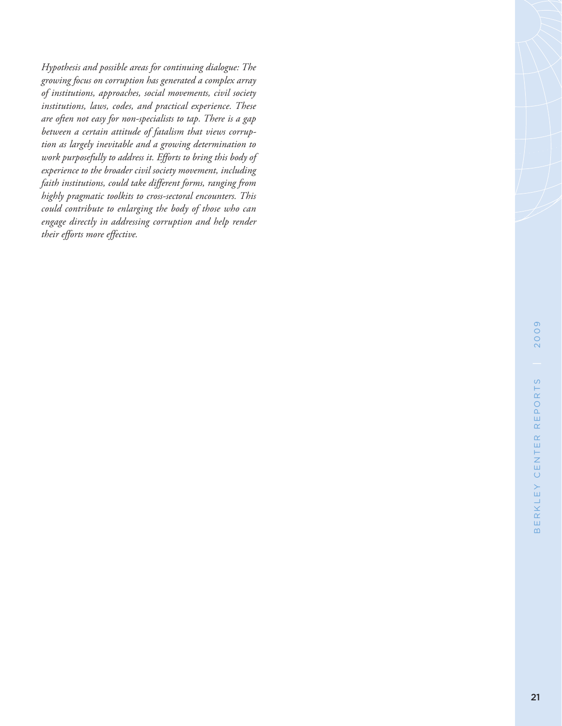*Hypothesis and possible areas for continuing dialogue: The growing focus on corruption has generated a complex array of institutions, approaches, social movements, civil society institutions, laws, codes, and practical experience. These are often not easy for non-specialists to tap. There is a gap between a certain attitude of fatalism that views corrup tion as largely inevitable and a growing determination to work purposefully to address it. Efforts to bring this body of experience to the broader civil society movement, including faith institutions, could take different forms, ranging from highly pragmatic toolkits to cross-sectoral encounters. This could contribute to enlarging the body of those who can engage directly in addressing corruption and help render their efforts more effective.*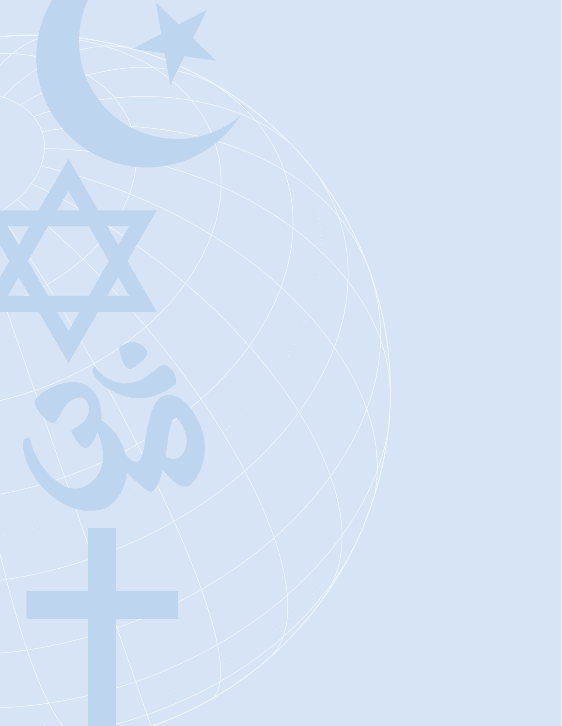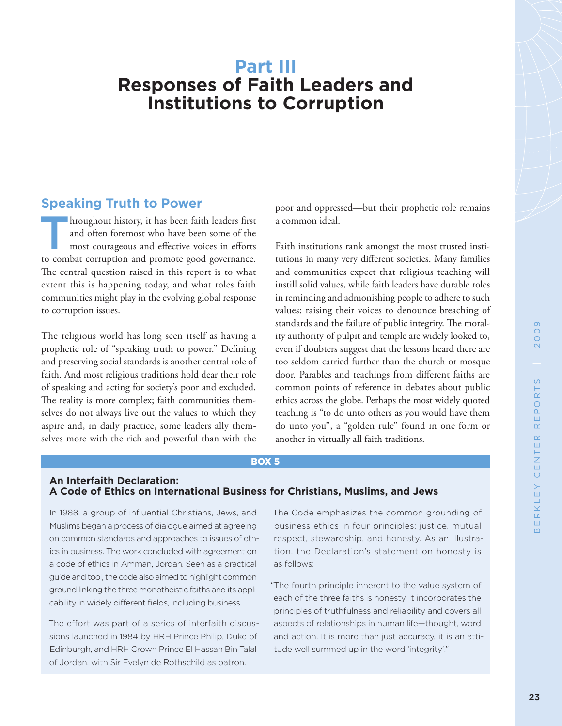# **Part III Responses of Faith Leaders and Institutions to Corruption**

## **Speaking Truth to Power**

hroughout history, it has been faith leaders first<br>and often foremost who have been some of the<br>most courageous and effective voices in efforts and often foremost who have been some of the to combat corruption and promote good governance. The central question raised in this report is to what extent this is happening today, and what roles faith communities might play in the evolving global response to corruption issues.

The religious world has long seen itself as having a prophetic role of "speaking truth to power." Defining and preserving social standards is another central role of faith. And most religious traditions hold dear their role of speaking and acting for society's poor and excluded. The reality is more complex; faith communities themselves do not always live out the values to which they aspire and, in daily practice, some leaders ally themselves more with the rich and powerful than with the

poor and oppressed—but their prophetic role remains a common ideal.

Faith institutions rank amongst the most trusted institutions in many very different societies. Many families and communities expect that religious teaching will instill solid values, while faith leaders have durable roles in reminding and admonishing people to adhere to such values: raising their voices to denounce breaching of standards and the failure of public integrity. The morality authority of pulpit and temple are widely looked to, even if doubters suggest that the lessons heard there are too seldom carried further than the church or mosque door. Parables and teachings from different faiths are common points of reference in debates about public ethics across the globe. Perhaps the most widely quoted teaching is "to do unto others as you would have them do unto you", a "golden rule" found in one form or another in virtually all faith traditions.

### Box 5

### **An Interfaith Declaration: A Code of Ethics on International Business for Christians, Muslims, and Jews**

In 1988, a group of influential Christians, Jews, and Muslims began a process of dialogue aimed at agreeing on common standards and approaches to issues of ethics in business. The work concluded with agreement on a code of ethics in Amman, Jordan. Seen as a practical guide and tool, the code also aimed to highlight common ground linking the three monotheistic faiths and its applicability in widely different fields, including business.

The effort was part of a series of interfaith discussions launched in 1984 by HRH Prince Philip, Duke of Edinburgh, and HRH Crown Prince El Hassan Bin Talal of Jordan, with Sir Evelyn de Rothschild as patron.

The Code emphasizes the common grounding of business ethics in four principles: justice, mutual respect, stewardship, and honesty. As an illustration, the Declaration's statement on honesty is as follows:

"The fourth principle inherent to the value system of each of the three faiths is honesty. It incorporates the principles of truthfulness and reliability and covers all aspects of relationships in human life—thought, word and action. It is more than just accuracy, it is an attitude well summed up in the word 'integrity'."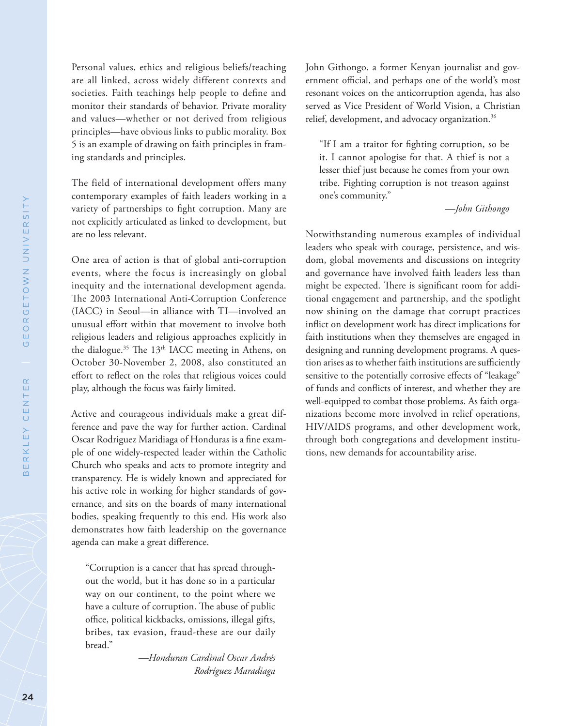Personal values, ethics and religious beliefs/teaching are all linked, across widely different contexts and societies. Faith teachings help people to define and monitor their standards of behavior. Private morality and values—whether or not derived from religious principles—have obvious links to public morality. Box 5 is an example of drawing on faith principles in framing standards and principles.

The field of international development offers many contemporary examples of faith leaders working in a variety of partnerships to fight corruption. Many are not explicitly articulated as linked to development, but are no less relevant.

One area of action is that of global anti-corruption events, where the focus is increasingly on global inequity and the international development agenda. The 2003 International Anti-Corruption Conference (IACC) in Seoul—in alliance with TI—involved an unusual effort within that movement to involve both religious leaders and religious approaches explicitly in the dialogue.<sup>35</sup> The 13<sup>th</sup> IACC meeting in Athens, on October 30-November 2, 2008, also constituted an effort to reflect on the roles that religious voices could play, although the focus was fairly limited.

Active and courageous individuals make a great difference and pave the way for further action. Cardinal Oscar Rodriguez Maridiaga of Honduras is a fine example of one widely-respected leader within the Catholic Church who speaks and acts to promote integrity and transparency. He is widely known and appreciated for his active role in working for higher standards of governance, and sits on the boards of many international bodies, speaking frequently to this end. His work also demonstrates how faith leadership on the governance agenda can make a great difference.

"Corruption is a cancer that has spread throughout the world, but it has done so in a particular way on our continent, to the point where we have a culture of corruption. The abuse of public office, political kickbacks, omissions, illegal gifts, bribes, tax evasion, fraud-these are our daily bread."

> *—Honduran Cardinal Oscar Andrés Rodríguez Maradiaga*

John Githongo, a former Kenyan journalist and government official, and perhaps one of the world's most resonant voices on the anticorruption agenda, has also served as Vice President of World Vision, a Christian relief, development, and advocacy organization.<sup>36</sup>

"If I am a traitor for fighting corruption, so be it. I cannot apologise for that. A thief is not a lesser thief just because he comes from your own tribe. Fighting corruption is not treason against one's community."

*—John Githongo*

Notwithstanding numerous examples of individual leaders who speak with courage, persistence, and wisdom, global movements and discussions on integrity and governance have involved faith leaders less than might be expected. There is significant room for additional engagement and partnership, and the spotlight now shining on the damage that corrupt practices inflict on development work has direct implications for faith institutions when they themselves are engaged in designing and running development programs. A question arises as to whether faith institutions are sufficiently sensitive to the potentially corrosive effects of "leakage" of funds and conflicts of interest, and whether they are well-equipped to combat those problems. As faith organizations become more involved in relief operations, HIV/AIDS programs, and other development work, through both congregations and development institutions, new demands for accountability arise.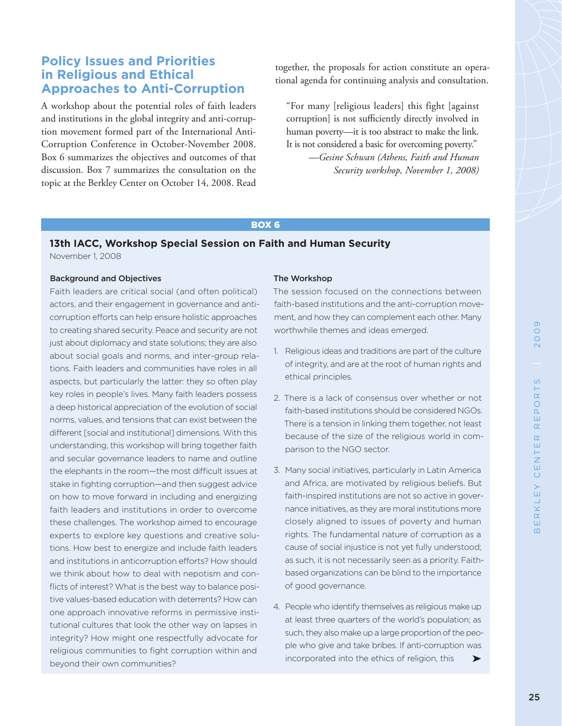# **Policy Issues and Priorities in Religious and Ethical Approaches to Anti-Corruption**

A workshop about the potential roles of faith leaders and institutions in the global integrity and anti-corruption movement formed part of the International Anti-Corruption Conference in October-November 2008. Box 6 summarizes the objectives and outcomes of that discussion. Box 7 summarizes the consultation on the topic at the Berkley Center on October 14, 2008. Read

together, the proposals for action constitute an operational agenda for continuing analysis and consultation.

"For many [religious leaders] this fight [against corruption] is not sufficiently directly involved in human poverty—it is too abstract to make the link. It is not considered a basic for overcoming poverty." *—Gesine Schwan (Athens, Faith and Human Security workshop, November 1, 2008)*

### Box 6

# **13th IACC, Workshop Special Session on Faith and Human Security**

November 1, 2008

#### Background and Objectives

Faith leaders are critical social (and often political) actors, and their engagement in governance and anticorruption efforts can help ensure holistic approaches to creating shared security. Peace and security are not just about diplomacy and state solutions; they are also about social goals and norms, and inter-group relations. Faith leaders and communities have roles in all aspects, but particularly the latter: they so often play key roles in people's lives. Many faith leaders possess a deep historical appreciation of the evolution of social norms, values, and tensions that can exist between the different [social and institutional] dimensions. With this understanding, this workshop will bring together faith and secular governance leaders to name and outline the elephants in the room—the most difficult issues at stake in fighting corruption—and then suggest advice on how to move forward in including and energizing faith leaders and institutions in order to overcome these challenges. The workshop aimed to encourage experts to explore key questions and creative solutions. How best to energize and include faith leaders and institutions in anticorruption efforts? How should we think about how to deal with nepotism and conflicts of interest? What is the best way to balance positive values-based education with deterrents? How can one approach innovative reforms in permissive institutional cultures that look the other way on lapses in integrity? How might one respectfully advocate for religious communities to fight corruption within and beyond their own communities?

#### The Workshop

The session focused on the connections between faith-based institutions and the anti-corruption movement, and how they can complement each other. Many worthwhile themes and ideas emerged.

- 1. Religious ideas and traditions are part of the culture of integrity, and are at the root of human rights and ethical principles.
- 2. There is a lack of consensus over whether or not faith-based institutions should be considered NGOs. There is a tension in linking them together, not least because of the size of the religious world in comparison to the NGO sector.
- 3. Many social initiatives, particularly in Latin America and Africa, are motivated by religious beliefs. But faith-inspired institutions are not so active in governance initiatives, as they are moral institutions more closely aligned to issues of poverty and human rights. The fundamental nature of corruption as a cause of social injustice is not yet fully understood; as such, it is not necessarily seen as a priority. Faithbased organizations can be blind to the importance of good governance.
- 4. People who identify themselves as religious make up at least three quarters of the world's population; as such, they also make up a large proportion of the people who give and take bribes. If anti-corruption was incorporated into the ethics of religion, this  $\blacktriangleright$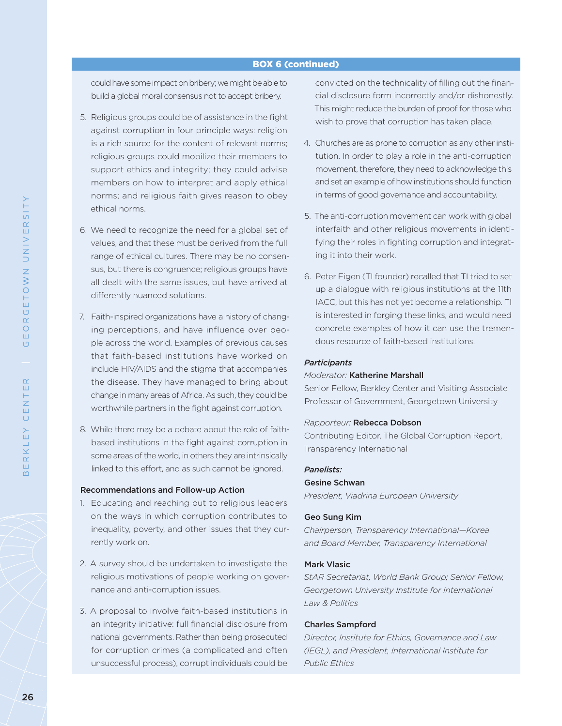#### Box 6 (continued)

could have some impact on bribery; we might be able to build a global moral consensus not to accept bribery.

- 5. Religious groups could be of assistance in the fight against corruption in four principle ways: religion is a rich source for the content of relevant norms; religious groups could mobilize their members to support ethics and integrity; they could advise members on how to interpret and apply ethical norms; and religious faith gives reason to obey ethical norms.
- 6. We need to recognize the need for a global set of values, and that these must be derived from the full range of ethical cultures. There may be no consensus, but there is congruence; religious groups have all dealt with the same issues, but have arrived at differently nuanced solutions.
- 7. Faith-inspired organizations have a history of changing perceptions, and have influence over people across the world. Examples of previous causes that faith-based institutions have worked on include HIV/AIDS and the stigma that accompanies the disease. They have managed to bring about change in many areas of Africa. As such, they could be worthwhile partners in the fight against corruption.
- 8. While there may be a debate about the role of faithbased institutions in the fight against corruption in some areas of the world, in others they are intrinsically linked to this effort, and as such cannot be ignored.

#### Recommendations and Follow-up Action

- 1. Educating and reaching out to religious leaders on the ways in which corruption contributes to inequality, poverty, and other issues that they currently work on.
- 2. A survey should be undertaken to investigate the religious motivations of people working on governance and anti-corruption issues.
- 3. A proposal to involve faith-based institutions in an integrity initiative: full financial disclosure from national governments. Rather than being prosecuted for corruption crimes (a complicated and often unsuccessful process), corrupt individuals could be

convicted on the technicality of filling out the financial disclosure form incorrectly and/or dishonestly. This might reduce the burden of proof for those who wish to prove that corruption has taken place.

- 4. Churches are as prone to corruption as any other institution. In order to play a role in the anti-corruption movement, therefore, they need to acknowledge this and set an example of how institutions should function in terms of good governance and accountability.
- 5. The anti-corruption movement can work with global interfaith and other religious movements in identifying their roles in fighting corruption and integrating it into their work.
- 6. Peter Eigen (TI founder) recalled that TI tried to set up a dialogue with religious institutions at the 11th IACC, but this has not yet become a relationship. TI is interested in forging these links, and would need concrete examples of how it can use the tremendous resource of faith-based institutions.

#### *Participants*

#### *Moderator:* Katherine Marshall

Senior Fellow, Berkley Center and Visiting Associate Professor of Government, Georgetown University

#### *Rapporteur:* Rebecca Dobson

Contributing Editor, The Global Corruption Report, Transparency International

### *Panelists:*

#### Gesine Schwan

*President, Viadrina European University*

#### Geo Sung Kim

*Chairperson, Transparency International—Korea and Board Member, Transparency International*

#### Mark Vlasic

*StAR Secretariat, World Bank Group; Senior Fellow, Georgetown University Institute for International Law & Politics*

#### Charles Sampford

*Director, Institute for Ethics, Governance and Law (IEGL), and President, International Institute for Public Ethics*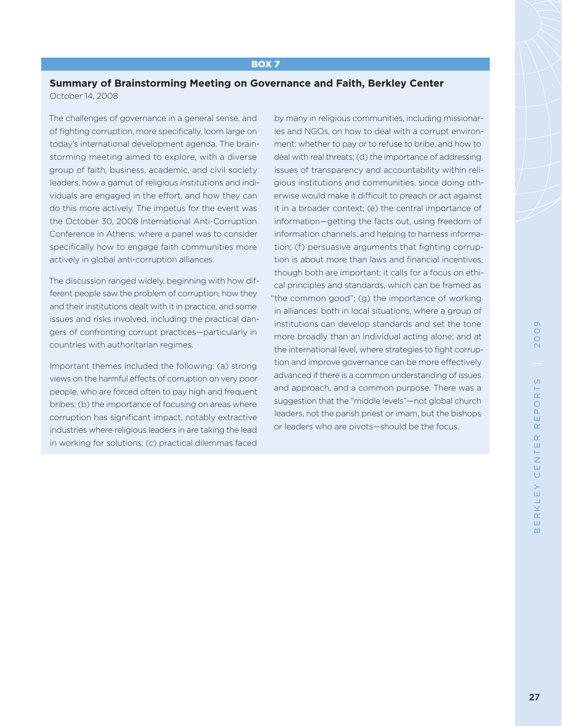### Box 7

### **Summary of Brainstorming Meeting on Governance and Faith, Berkley Center** October 14, 2008

The challenges of governance in a general sense, and of fighting corruption, more specifically, loom large on today's international development agenda. The brainstorming meeting aimed to explore, with a diverse group of faith, business, academic, and civil society leaders, how a gamut of religious institutions and individuals are engaged in the effort, and how they can do this more actively. The impetus for the event was the October 30, 2008 International Anti-Corruption Conference in Athens, where a panel was to consider specifically how to engage faith communities more actively in global anti-corruption alliances.

The discussion ranged widely, beginning with how different people saw the problem of corruption, how they and their institutions dealt with it in practice, and some issues and risks involved, including the practical dangers of confronting corrupt practices—particularly in countries with authoritarian regimes.

Important themes included the following: (a) strong views on the harmful effects of corruption on very poor people, who are forced often to pay high and frequent bribes; (b) the importance of focusing on areas where corruption has significant impact, notably extractive industries where religious leaders in are taking the lead in working for solutions; (c) practical dilemmas faced

by many in religious communities, including missionaries and NGOs, on how to deal with a corrupt environment: whether to pay or to refuse to bribe, and how to deal with real threats; (d) the importance of addressing issues of transparency and accountability within religious institutions and communities, since doing otherwise would make it difficult to preach or act against it in a broader context; (e) the central importance of information—getting the facts out, using freedom of information channels, and helping to harness information; (f) persuasive arguments that fighting corruption is about more than laws and financial incentives, though both are important; it calls for a focus on ethical principles and standards, which can be framed as "the common good"; (g) the importance of working in alliances: both in local situations, where a group of institutions can develop standards and set the tone more broadly than an individual acting alone; and at the international level, where strategies to fight corruption and improve governance can be more effectively advanced if there is a common understanding of issues and approach, and a common purpose. There was a suggestion that the "middle levels"—not global church leaders, not the parish priest or imam, but the bishops or leaders who are pivots—should be the focus.

 $\Omega$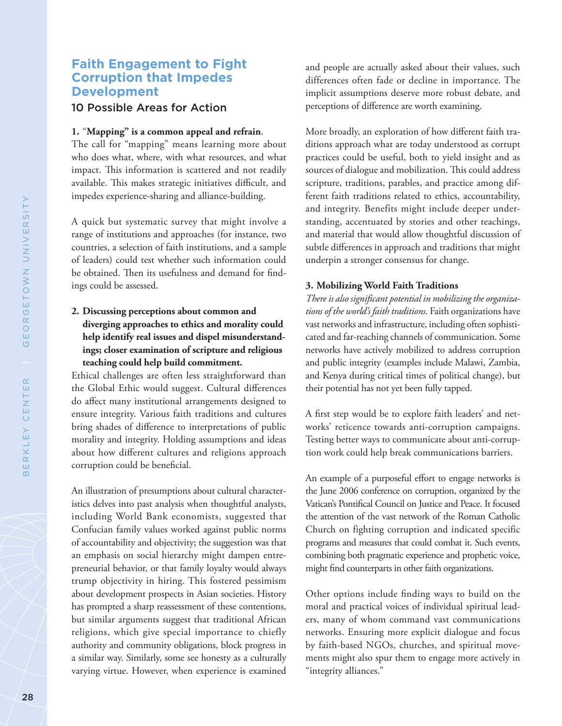# **Faith Engagement to Fight Corruption that Impedes Development**

## 10 Possible Areas for Action

#### **1.** "**Mapping" is a common appeal and refrain**.

The call for "mapping" means learning more about who does what, where, with what resources, and what impact. This information is scattered and not readily available. This makes strategic initiatives difficult, and impedes experience-sharing and alliance-building.

A quick but systematic survey that might involve a range of institutions and approaches (for instance, two countries, a selection of faith institutions, and a sample of leaders) could test whether such information could be obtained. Then its usefulness and demand for findings could be assessed.

### **2. Discussing perceptions about common and diverging approaches to ethics and morality could help identify real issues and dispel misunderstandings; closer examination of scripture and religious teaching could help build commitment.**

Ethical challenges are often less straightforward than the Global Ethic would suggest. Cultural differences do affect many institutional arrangements designed to ensure integrity. Various faith traditions and cultures bring shades of difference to interpretations of public morality and integrity. Holding assumptions and ideas about how different cultures and religions approach corruption could be beneficial.

An illustration of presumptions about cultural characteristics delves into past analysis when thoughtful analysts, including World Bank economists, suggested that Confucian family values worked against public norms of accountability and objectivity; the suggestion was that an emphasis on social hierarchy might dampen entrepreneurial behavior, or that family loyalty would always trump objectivity in hiring. This fostered pessimism about development prospects in Asian societies. History has prompted a sharp reassessment of these contentions, but similar arguments suggest that traditional African religions, which give special importance to chiefly authority and community obligations, block progress in a similar way. Similarly, some see honesty as a culturally varying virtue. However, when experience is examined

and people are actually asked about their values, such differences often fade or decline in importance. The implicit assumptions deserve more robust debate, and perceptions of difference are worth examining.

More broadly, an exploration of how different faith traditions approach what are today understood as corrupt practices could be useful, both to yield insight and as sources of dialogue and mobilization. This could address scripture, traditions, parables, and practice among different faith traditions related to ethics, accountability, and integrity. Benefits might include deeper understanding, accentuated by stories and other teachings, and material that would allow thoughtful discussion of subtle differences in approach and traditions that might underpin a stronger consensus for change.

#### **3. Mobilizing World Faith Traditions**

*There is also significant potential in mobilizing the organizations of the world's faith traditions.* Faith organizations have vast networks and infrastructure, including often sophisticated and far-reaching channels of communication. Some networks have actively mobilized to address corruption and public integrity (examples include Malawi, Zambia, and Kenya during critical times of political change), but their potential has not yet been fully tapped.

A first step would be to explore faith leaders' and networks' reticence towards anti-corruption campaigns. Testing better ways to communicate about anti-corruption work could help break communications barriers.

An example of a purposeful effort to engage networks is the June 2006 conference on corruption, organized by the Vatican's Pontifical Council on Justice and Peace. It focused the attention of the vast network of the Roman Catholic Church on fighting corruption and indicated specific programs and measures that could combat it. Such events, combining both pragmatic experience and prophetic voice, might find counterparts in other faith organizations.

Other options include finding ways to build on the moral and practical voices of individual spiritual leaders, many of whom command vast communications networks. Ensuring more explicit dialogue and focus by faith-based NGOs, churches, and spiritual movements might also spur them to engage more actively in "integrity alliances."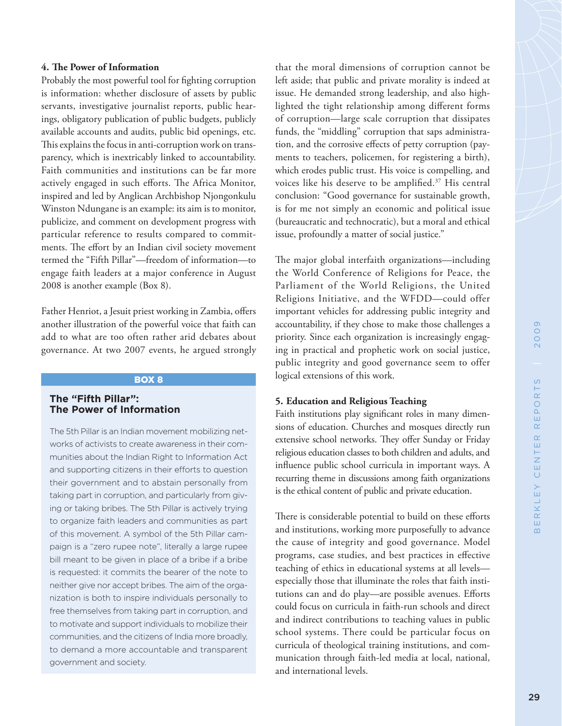### **4. The Power of Information**

Probably the most powerful tool for fighting corruption is information: whether disclosure of assets by public servants, investigative journalist reports, public hearings, obligatory publication of public budgets, publicly available accounts and audits, public bid openings, etc. This explains the focus in anti-corruption work on transparency, which is inextricably linked to accountability. Faith communities and institutions can be far more actively engaged in such efforts. The Africa Monitor, inspired and led by Anglican Archbishop Njongonkulu Winston Ndungane is an example: its aim is to monitor, publicize, and comment on development progress with particular reference to results compared to commitments. The effort by an Indian civil society movement termed the "Fifth Pillar"—freedom of information—to engage faith leaders at a major conference in August 2008 is another example (Box 8).

Father Henriot, a Jesuit priest working in Zambia, offers another illustration of the powerful voice that faith can add to what are too often rather arid debates about governance. At two 2007 events, he argued strongly

#### Box 8

### **The "Fifth Pillar": The Power of Information**

The 5th Pillar is an Indian movement mobilizing networks of activists to create awareness in their communities about the Indian Right to Information Act and supporting citizens in their efforts to question their government and to abstain personally from taking part in corruption, and particularly from giving or taking bribes. The 5th Pillar is actively trying to organize faith leaders and communities as part of this movement. A symbol of the 5th Pillar campaign is a "zero rupee note", literally a large rupee bill meant to be given in place of a bribe if a bribe is requested: it commits the bearer of the note to neither give nor accept bribes. The aim of the organization is both to inspire individuals personally to free themselves from taking part in corruption, and to motivate and support individuals to mobilize their communities, and the citizens of India more broadly, to demand a more accountable and transparent government and society.

that the moral dimensions of corruption cannot be left aside; that public and private morality is indeed at issue. He demanded strong leadership, and also highlighted the tight relationship among different forms of corruption—large scale corruption that dissipates funds, the "middling" corruption that saps administration, and the corrosive effects of petty corruption (payments to teachers, policemen, for registering a birth), which erodes public trust. His voice is compelling, and voices like his deserve to be amplified.<sup>37</sup> His central conclusion: "Good governance for sustainable growth, is for me not simply an economic and political issue (bureaucratic and technocratic), but a moral and ethical issue, profoundly a matter of social justice."

The major global interfaith organizations—including the World Conference of Religions for Peace, the Parliament of the World Religions, the United Religions Initiative, and the WFDD—could offer important vehicles for addressing public integrity and accountability, if they chose to make those challenges a priority. Since each organization is increasingly engaging in practical and prophetic work on social justice, public integrity and good governance seem to offer logical extensions of this work.

#### **5. Education and Religious Teaching**

Faith institutions play significant roles in many dimensions of education. Churches and mosques directly run extensive school networks. They offer Sunday or Friday religious education classes to both children and adults, and influence public school curricula in important ways. A recurring theme in discussions among faith organizations is the ethical content of public and private education.

There is considerable potential to build on these efforts and institutions, working more purposefully to advance the cause of integrity and good governance. Model programs, case studies, and best practices in effective teaching of ethics in educational systems at all levels especially those that illuminate the roles that faith institutions can and do play—are possible avenues. Efforts could focus on curricula in faith-run schools and direct and indirect contributions to teaching values in public school systems. There could be particular focus on curricula of theological training institutions, and communication through faith-led media at local, national, and international levels.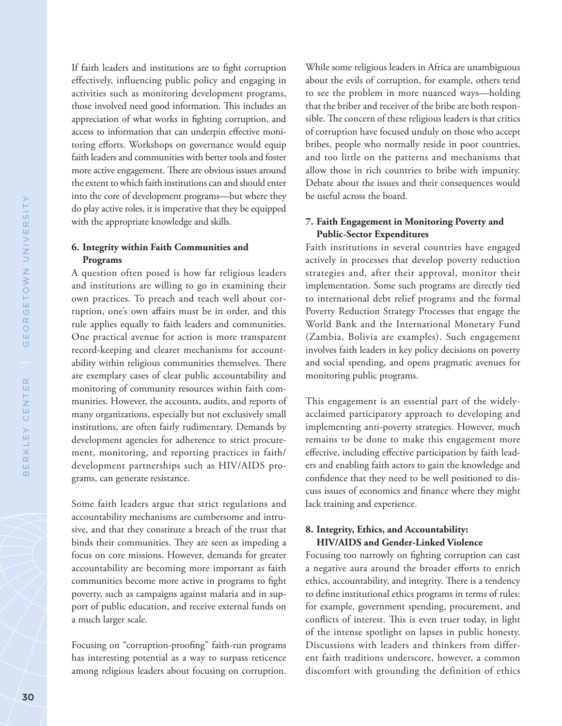If faith leaders and institutions are to fight corruption effectively, influencing public policy and engaging in activities such as monitoring development programs, those involved need good information. This includes an appreciation of what works in fighting corruption, and access to information that can underpin effective monitoring efforts. Workshops on governance would equip faith leaders and communities with better tools and foster more active engagement. There are obvious issues around the extent to which faith institutions can and should enter into the core of development programs—but where they do play active roles, it is imperative that they be equipped with the appropriate knowledge and skills.

### **6. Integrity within Faith Communities and Programs**

A question often posed is how far religious leaders and institutions are willing to go in examining their own practices. To preach and teach well about corruption, one's own affairs must be in order, and this rule applies equally to faith leaders and communities. One practical avenue for action is more transparent record-keeping and clearer mechanisms for accountability within religious communities themselves. There are exemplary cases of clear public accountability and monitoring of community resources within faith communities. However, the accounts, audits, and reports of many organizations, especially but not exclusively small institutions, are often fairly rudimentary. Demands by development agencies for adherence to strict procurement, monitoring, and reporting practices in faith/ development partnerships such as HIV/AIDS programs, can generate resistance.

Some faith leaders argue that strict regulations and accountability mechanisms are cumbersome and intrusive, and that they constitute a breach of the trust that binds their communities. They are seen as impeding a focus on core missions. However, demands for greater accountability are becoming more important as faith communities become more active in programs to fight poverty, such as campaigns against malaria and in support of public education, and receive external funds on a much larger scale.

Focusing on "corruption-proofing" faith-run programs has interesting potential as a way to surpass reticence among religious leaders about focusing on corruption.

While some religious leaders in Africa are unambiguous about the evils of corruption, for example, others tend to see the problem in more nuanced ways—holding that the briber and receiver of the bribe are both responsible. The concern of these religious leaders is that critics of corruption have focused unduly on those who accept bribes, people who normally reside in poor countries, and too little on the patterns and mechanisms that allow those in rich countries to bribe with impunity. Debate about the issues and their consequences would be useful across the board.

### **7. Faith Engagement in Monitoring Poverty and Public-Sector Expenditures**

Faith institutions in several countries have engaged actively in processes that develop poverty reduction strategies and, after their approval, monitor their implementation. Some such programs are directly tied to international debt relief programs and the formal Poverty Reduction Strategy Processes that engage the World Bank and the International Monetary Fund (Zambia, Bolivia are examples). Such engagement involves faith leaders in key policy decisions on poverty and social spending, and opens pragmatic avenues for monitoring public programs.

This engagement is an essential part of the widelyacclaimed participatory approach to developing and implementing anti-poverty strategies. However, much remains to be done to make this engagement more effective, including effective participation by faith leaders and enabling faith actors to gain the knowledge and confidence that they need to be well positioned to discuss issues of economics and finance where they might lack training and experience.

### **8. Integrity, Ethics, and Accountability: HIV/AIDS and Gender-Linked Violence**

Focusing too narrowly on fighting corruption can cast a negative aura around the broader efforts to enrich ethics, accountability, and integrity. There is a tendency to define institutional ethics programs in terms of rules: for example, government spending, procurement, and conflicts of interest. This is even truer today, in light of the intense spotlight on lapses in public honesty. Discussions with leaders and thinkers from different faith traditions underscore, however, a common discomfort with grounding the definition of ethics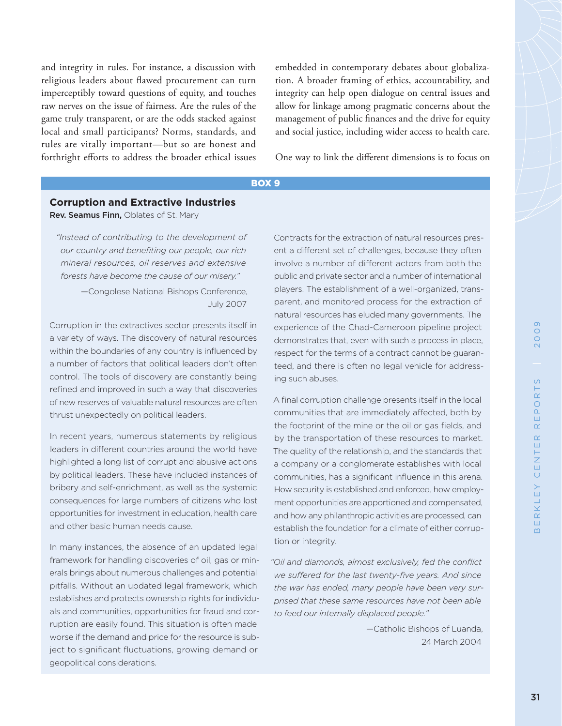and integrity in rules. For instance, a discussion with religious leaders about flawed procurement can turn imperceptibly toward questions of equity, and touches raw nerves on the issue of fairness. Are the rules of the game truly transparent, or are the odds stacked against local and small participants? Norms, standards, and rules are vitally important—but so are honest and forthright efforts to address the broader ethical issues

embedded in contemporary debates about globalization. A broader framing of ethics, accountability, and integrity can help open dialogue on central issues and allow for linkage among pragmatic concerns about the management of public finances and the drive for equity and social justice, including wider access to health care.

One way to link the different dimensions is to focus on

### Box 9

#### **Corruption and Extractive Industries**  Rev. Seamus Finn, Oblates of St. Mary

*"Instead of contributing to the development of our country and benefiting our people, our rich mineral resources, oil reserves and extensive forests have become the cause of our misery."* —Congolese National Bishops Conference, July 2007

Corruption in the extractives sector presents itself in a variety of ways. The discovery of natural resources within the boundaries of any country is influenced by a number of factors that political leaders don't often control. The tools of discovery are constantly being refined and improved in such a way that discoveries of new reserves of valuable natural resources are often thrust unexpectedly on political leaders.

In recent years, numerous statements by religious leaders in different countries around the world have highlighted a long list of corrupt and abusive actions by political leaders. These have included instances of bribery and self-enrichment, as well as the systemic consequences for large numbers of citizens who lost opportunities for investment in education, health care and other basic human needs cause.

In many instances, the absence of an updated legal framework for handling discoveries of oil, gas or minerals brings about numerous challenges and potential pitfalls. Without an updated legal framework, which establishes and protects ownership rights for individuals and communities, opportunities for fraud and corruption are easily found. This situation is often made worse if the demand and price for the resource is subject to significant fluctuations, growing demand or geopolitical considerations.

Contracts for the extraction of natural resources present a different set of challenges, because they often involve a number of different actors from both the public and private sector and a number of international players. The establishment of a well-organized, transparent, and monitored process for the extraction of natural resources has eluded many governments. The experience of the Chad-Cameroon pipeline project demonstrates that, even with such a process in place, respect for the terms of a contract cannot be guaranteed, and there is often no legal vehicle for addressing such abuses.

A final corruption challenge presents itself in the local communities that are immediately affected, both by the footprint of the mine or the oil or gas fields, and by the transportation of these resources to market. The quality of the relationship, and the standards that a company or a conglomerate establishes with local communities, has a significant influence in this arena. How security is established and enforced, how employment opportunities are apportioned and compensated, and how any philanthropic activities are processed, can establish the foundation for a climate of either corruption or integrity.

*"Oil and diamonds, almost exclusively, fed the conflict we suffered for the last twenty-five years. And since the war has ended, many people have been very surprised that these same resources have not been able to feed our internally displaced people."*

> —Catholic Bishops of Luanda, 24 March 2004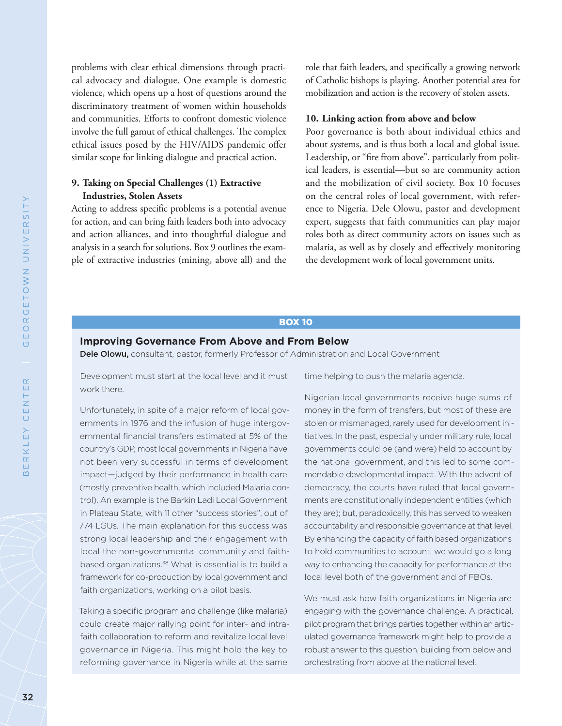problems with clear ethical dimensions through practical advocacy and dialogue. One example is domestic violence, which opens up a host of questions around the discriminatory treatment of women within households and communities. Efforts to confront domestic violence involve the full gamut of ethical challenges. The complex ethical issues posed by the HIV/AIDS pandemic offer similar scope for linking dialogue and practical action.

### **9. Taking on Special Challenges (1) Extractive Industries, Stolen Assets**

Acting to address specific problems is a potential avenue for action, and can bring faith leaders both into advocacy and action alliances, and into thoughtful dialogue and analysis in a search for solutions. Box 9 outlines the example of extractive industries (mining, above all) and the role that faith leaders, and specifically a growing network of Catholic bishops is playing. Another potential area for mobilization and action is the recovery of stolen assets.

#### **10. Linking action from above and below**

Poor governance is both about individual ethics and about systems, and is thus both a local and global issue. Leadership, or "fire from above", particularly from political leaders, is essential—but so are community action and the mobilization of civil society. Box 10 focuses on the central roles of local government, with reference to Nigeria. Dele Olowu, pastor and development expert, suggests that faith communities can play major roles both as direct community actors on issues such as malaria, as well as by closely and effectively monitoring the development work of local government units.

### **BOX 10**

#### **Improving Governance From Above and From Below**

Dele Olowu, consultant, pastor, formerly Professor of Administration and Local Government

Development must start at the local level and it must work there.

Unfortunately, in spite of a major reform of local governments in 1976 and the infusion of huge intergovernmental financial transfers estimated at 5% of the country's GDP, most local governments in Nigeria have not been very successful in terms of development impact—judged by their performance in health care (mostly preventive health, which included Malaria control). An example is the Barkin Ladi Local Government in Plateau State, with 11 other "success stories", out of 774 LGUs. The main explanation for this success was strong local leadership and their engagement with local the non-governmental community and faithbased organizations.<sup>38</sup> What is essential is to build a framework for co-production by local government and faith organizations, working on a pilot basis.

Taking a specific program and challenge (like malaria) could create major rallying point for inter- and intrafaith collaboration to reform and revitalize local level governance in Nigeria. This might hold the key to reforming governance in Nigeria while at the same

time helping to push the malaria agenda.

Nigerian local governments receive huge sums of money in the form of transfers, but most of these are stolen or mismanaged, rarely used for development initiatives. In the past, especially under military rule, local governments could be (and were) held to account by the national government, and this led to some commendable developmental impact. With the advent of democracy, the courts have ruled that local governments are constitutionally independent entities (which they are); but, paradoxically, this has served to weaken accountability and responsible governance at that level. By enhancing the capacity of faith based organizations to hold communities to account, we would go a long way to enhancing the capacity for performance at the local level both of the government and of FBOs.

We must ask how faith organizations in Nigeria are engaging with the governance challenge. A practical, pilot program that brings parties together within an articulated governance framework might help to provide a robust answer to this question, building from below and orchestrating from above at the national level.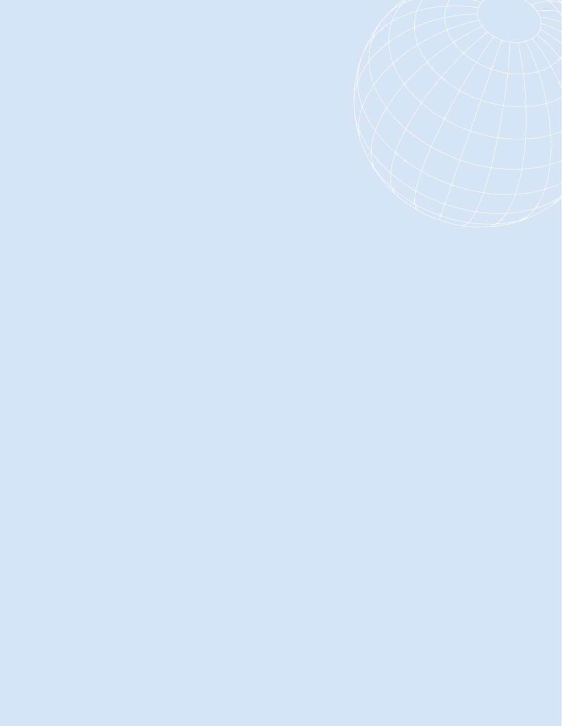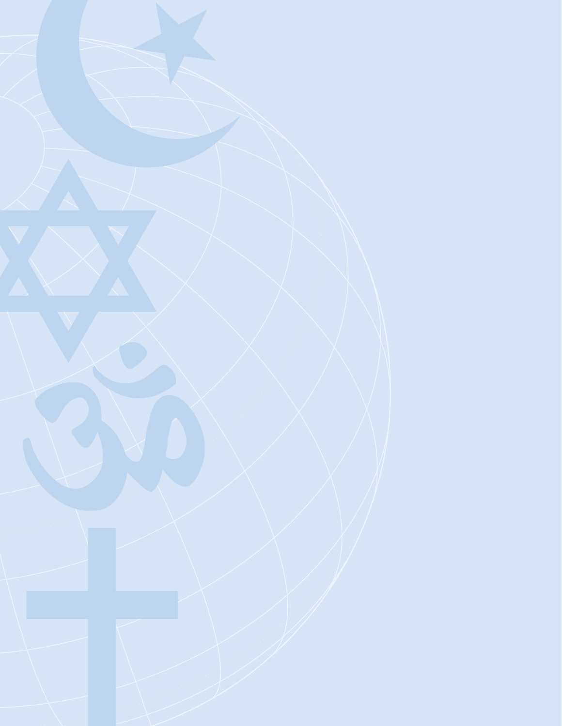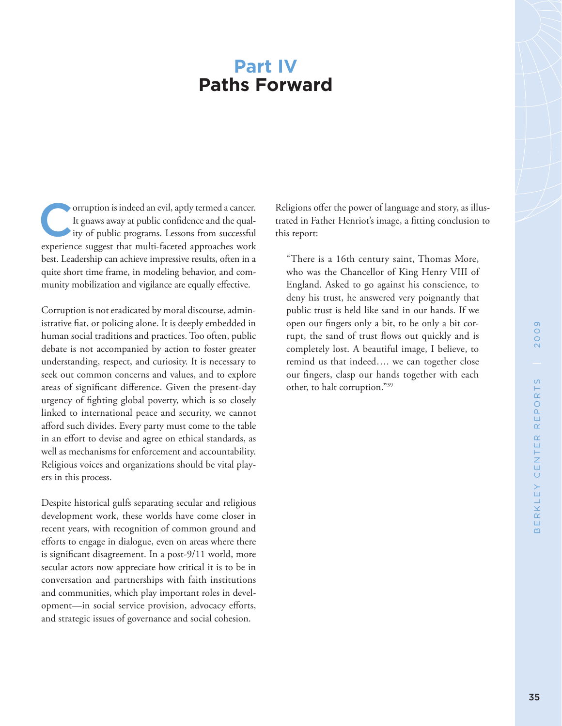# **Part IV Paths Forward**

orruption is indeed an evil, aptly termed a cancer.<br>It gnaws away at public confidence and the quality of public programs. Lessons from successful It gnaws away at public confidence and the qualexperience suggest that multi-faceted approaches work best. Leadership can achieve impressive results, often in a quite short time frame, in modeling behavior, and community mobilization and vigilance are equally effective.

Corruption is not eradicated by moral discourse, administrative fiat, or policing alone. It is deeply embedded in human social traditions and practices. Too often, public debate is not accompanied by action to foster greater understanding, respect, and curiosity. It is necessary to seek out common concerns and values, and to explore areas of significant difference. Given the present-day urgency of fighting global poverty, which is so closely linked to international peace and security, we cannot afford such divides. Every party must come to the table in an effort to devise and agree on ethical standards, as well as mechanisms for enforcement and accountability. Religious voices and organizations should be vital players in this process.

Despite historical gulfs separating secular and religious development work, these worlds have come closer in recent years, with recognition of common ground and efforts to engage in dialogue, even on areas where there is significant disagreement. In a post-9/11 world, more secular actors now appreciate how critical it is to be in conversation and partnerships with faith institutions and communities, which play important roles in development—in social service provision, advocacy efforts, and strategic issues of governance and social cohesion.

Religions offer the power of language and story, as illustrated in Father Henriot's image, a fitting conclusion to this report:

"There is a 16th century saint, Thomas More, who was the Chancellor of King Henry VIII of England. Asked to go against his conscience, to deny his trust, he answered very poignantly that public trust is held like sand in our hands. If we open our fingers only a bit, to be only a bit corrupt, the sand of trust flows out quickly and is completely lost. A beautiful image, I believe, to remind us that indeed…. we can together close our fingers, clasp our hands together with each other, to halt corruption."39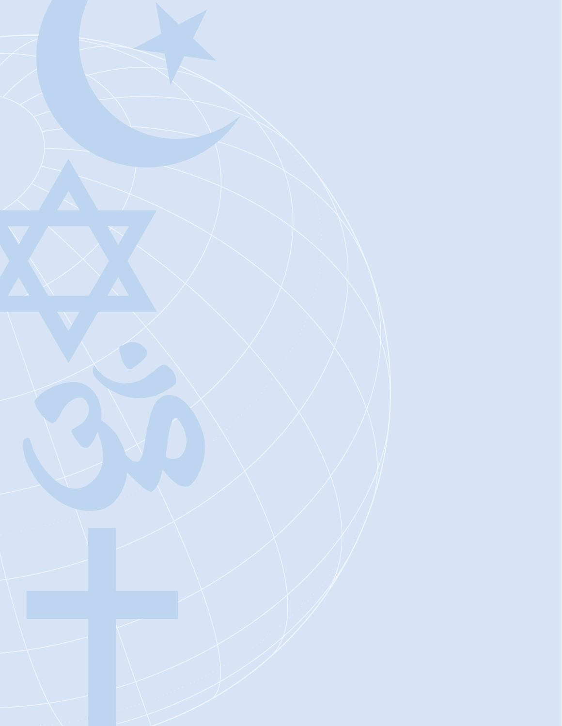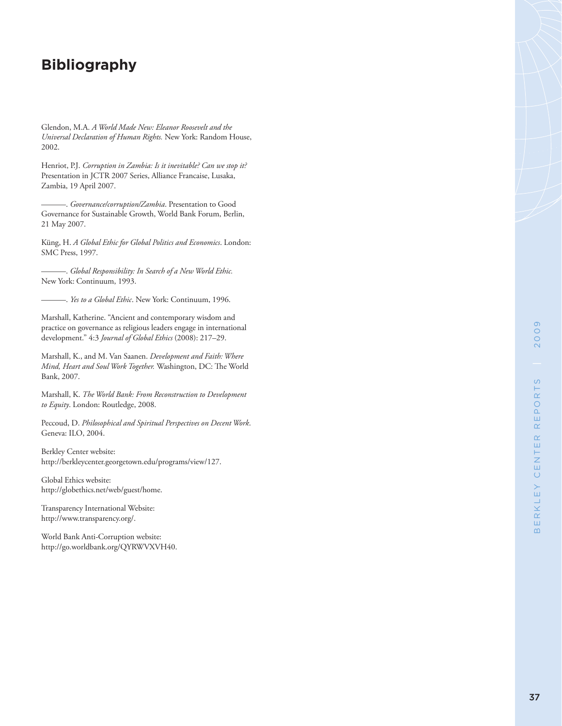# **Bibliography**

Glendon, M.A. *A World Made New: Eleanor Roosevelt and the Universal Declaration of Human Rights.* New York: Random House, 2002.

Henriot, P.J. *Corruption in Zambia: Is it inevitable? Can we stop it?* Presentation in JCTR 2007 Series, Alliance Francaise, Lusaka, Zambia, 19 April 2007.

———. *Governance/corruption/Zambia*. Presentation to Good Governance for Sustainable Growth, World Bank Forum, Berlin, 21 May 2007.

Küng, H. *A Global Ethic for Global Politics and Economics*. London: SMC Press, 1997.

———. *Global Responsibility: In Search of a New World Ethic.* New York: Continuum, 1993.

———. *Yes to a Global Ethic*. New York: Continuum, 1996.

Marshall, Katherine. "Ancient and contemporary wisdom and practice on governance as religious leaders engage in international development." 4:3 *Journal of Global Ethics* (2008): 217–29.

Marshall, K., and M. Van Saanen. *Development and Faith: Where Mind, Heart and Soul Work Together.* Washington, DC: The World Bank, 2007.

Marshall, K. *The World Bank: From Reconstruction to Development to Equity*. London: Routledge, 2008.

Peccoud, D. *Philosophical and Spiritual Perspectives on Decent Work*. Geneva: ILO, 2004.

Berkley Center website: http://berkleycenter.georgetown.edu/programs/view/127.

Global Ethics website: http://globethics.net/web/guest/home.

Transparency International Website: http://www.transparency.org/.

World Bank Anti-Corruption website: http://go.worldbank.org/QYRWVXVH40.  $\overline{\mathbf{m}}$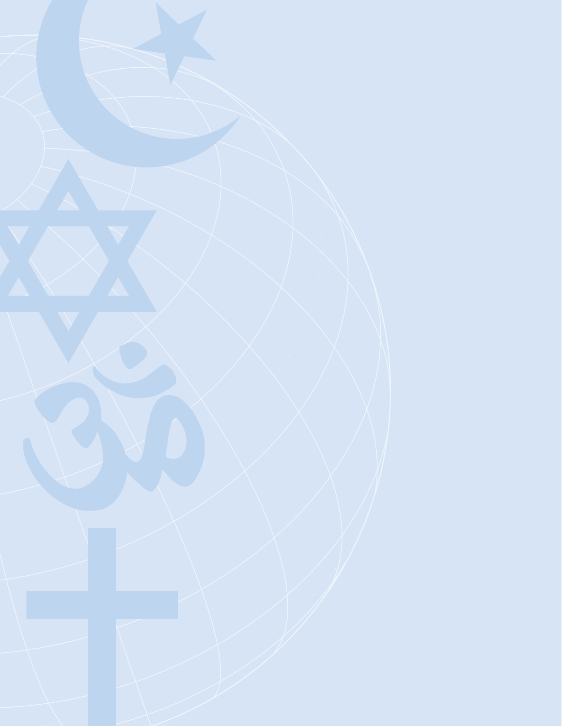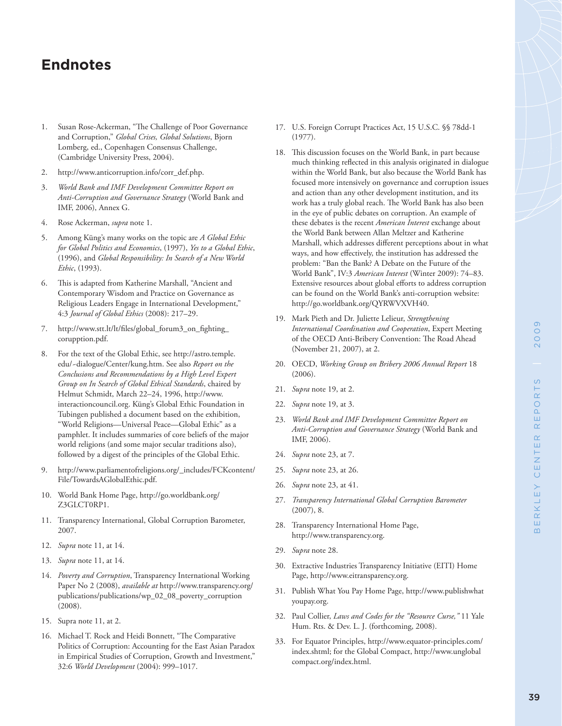# **Endnotes**

- 1. Susan Rose-Ackerman, "The Challenge of Poor Governance and Corruption," *Global Crises, Global Solutions*, Bjorn Lomberg, ed., Copenhagen Consensus Challenge, (Cambridge University Press, 2004).
- 2. http://www.anticorruption.info/corr\_def.php.
- 3. *World Bank and IMF Development Committee Report on Anti-Corruption and Governance Strategy* (World Bank and IMF, 2006), Annex G.
- 4. Rose Ackerman, *supra* note 1.
- 5. Among Küng's many works on the topic are *A Global Ethic for Global Politics and Economics*, (1997), *Yes to a Global Ethic*, (1996), and *Global Responsibility: In Search of a New World Ethic*, (1993).
- 6. This is adapted from Katherine Marshall, "Ancient and Contemporary Wisdom and Practice on Governance as Religious Leaders Engage in International Development," 4:3 *Journal of Global Ethics* (2008): 217–29.
- 7. http://www.stt.lt/lt/files/global\_forum3\_on\_fighting\_ corupption.pdf.
- 8. For the text of the Global Ethic, see http://astro.temple. edu/~dialogue/Center/kung.htm. See also *Report on the Conclusions and Recommendations by a High Level Expert Group on In Search of Global Ethical Standards*, chaired by Helmut Schmidt, March 22–24, 1996, http://www. interactioncouncil.org. Küng's Global Ethic Foundation in Tubingen published a document based on the exhibition, "World Religions—Universal Peace—Global Ethic" as a pamphlet. It includes summaries of core beliefs of the major world religions (and some major secular traditions also), followed by a digest of the principles of the Global Ethic.
- 9. http://www.parliamentofreligions.org/\_includes/FCKcontent/ File/TowardsAGlobalEthic.pdf.
- 10. World Bank Home Page, http://go.worldbank.org/ Z3GLCT0RP1.
- 11. Transparency International, Global Corruption Barometer, 2007.
- 12. *Supra* note 11, at 14.
- 13. *Supra* note 11, at 14.
- 14. *Poverty and Corruption*, Transparency International Working Paper No 2 (2008), *available at* http://www.transparency.org/ publications/publications/wp\_02\_08\_poverty\_corruption (2008).
- 15. Supra note 11, at 2.
- 16. Michael T. Rock and Heidi Bonnett, "The Comparative Politics of Corruption: Accounting for the East Asian Paradox in Empirical Studies of Corruption, Growth and Investment," 32:6 *World Development* (2004): 999–1017.
- 17. U.S. Foreign Corrupt Practices Act, 15 U.S.C. §§ 78dd-1 (1977).
- 18. This discussion focuses on the World Bank, in part because much thinking reflected in this analysis originated in dialogue within the World Bank, but also because the World Bank has focused more intensively on governance and corruption issues and action than any other development institution, and its work has a truly global reach. The World Bank has also been in the eye of public debates on corruption. An example of these debates is the recent *American Interest* exchange about the World Bank between Allan Meltzer and Katherine Marshall, which addresses different perceptions about in what ways, and how effectively, the institution has addressed the problem: "Ban the Bank? A Debate on the Future of the World Bank", IV:3 *American Interest* (Winter 2009): 74–83. Extensive resources about global efforts to address corruption can be found on the World Bank's anti-corruption website: http://go.worldbank.org/QYRWVXVH40.
- 19. Mark Pieth and Dr. Juliette Lelieur, *Strengthening International Coordination and Cooperation*, Expert Meeting of the OECD Anti-Bribery Convention: The Road Ahead (November 21, 2007), at 2.
- 20. OECD, *Working Group on Bribery 2006 Annual Report* 18 (2006).
- 21. *Supra* note 19, at 2.
- 22. *Supra* note 19, at 3.
- 23. *World Bank and IMF Development Committee Report on Anti-Corruption and Governance Strategy* (World Bank and IMF, 2006).
- 24. *Supra* note 23, at 7.
- 25. *Supra* note 23, at 26.
- 26. *Supra* note 23, at 41.
- 27. *Transparency International Global Corruption Barometer* (2007), 8.
- 28. Transparency International Home Page, http://www.transparency.org.
- 29. *Supra* note 28.
- 30. Extractive Industries Transparency Initiative (EITI) Home Page, http://www.eitransparency.org.
- 31. Publish What You Pay Home Page, http://www.publishwhat youpay.org.
- 32. Paul Collier, *Laws and Codes for the "Resource Curse,"* 11 Yale Hum. Rts. & Dev. L. J. (forthcoming, 2008).
- 33. For Equator Principles, http://www.equator-principles.com/ index.shtml; for the Global Compact, http://www.unglobal compact.org/index.html.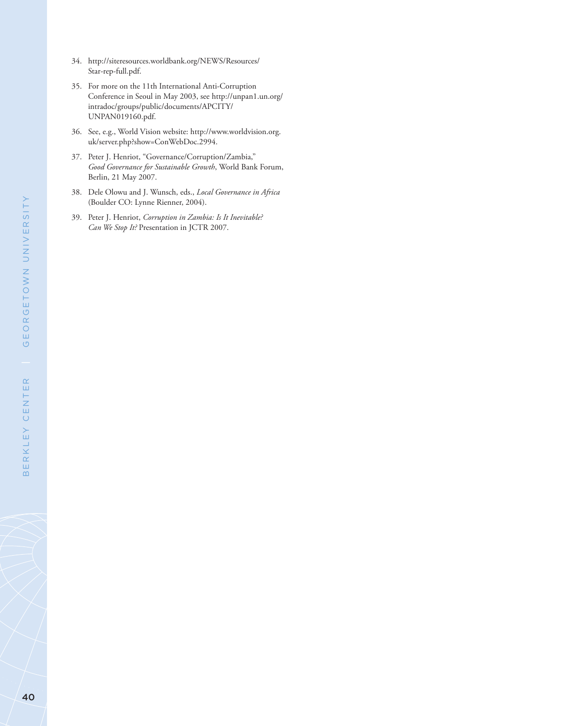- 34. http://siteresources.worldbank.org/NEWS/Resources/ Star-rep-full.pdf.
- 35. For more on the 11th International Anti-Corruption Conference in Seoul in May 2003, see http://unpan1.un.org/ intradoc/groups/public/documents/APCITY/ UNPAN019160.pdf.
- 36. See, e.g., World Vision website: http://www.worldvision.org. uk/server.php?show=ConWebDoc.2994.
- 37. Peter J. Henriot, "Governance/Corruption/Zambia," *Good Governance for Sustainable Growth*, World Bank Forum, Berlin, 21 May 2007.
- 38. Dele Olowu and J. Wunsch, eds., *Local Governance in Africa* (Boulder CO: Lynne Rienner, 2004).
- 39. Peter J. Henriot, *Corruption in Zambia: Is It Inevitable? Can We Stop It?* Presentation in JCTR 2007.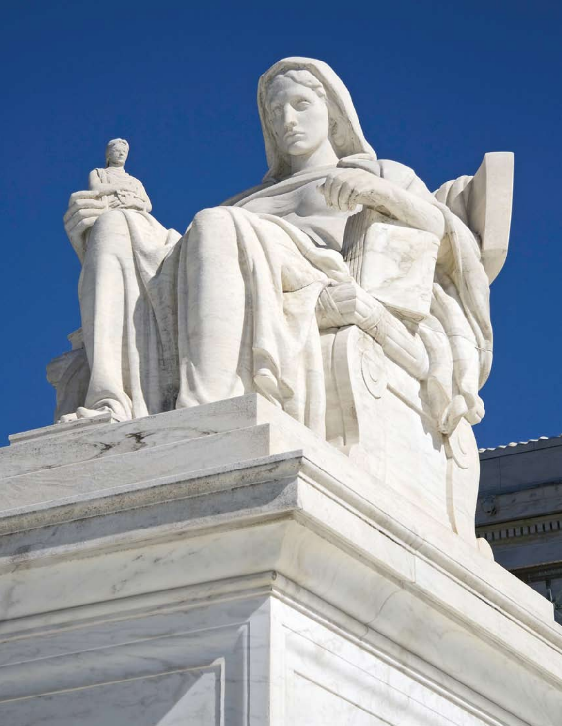